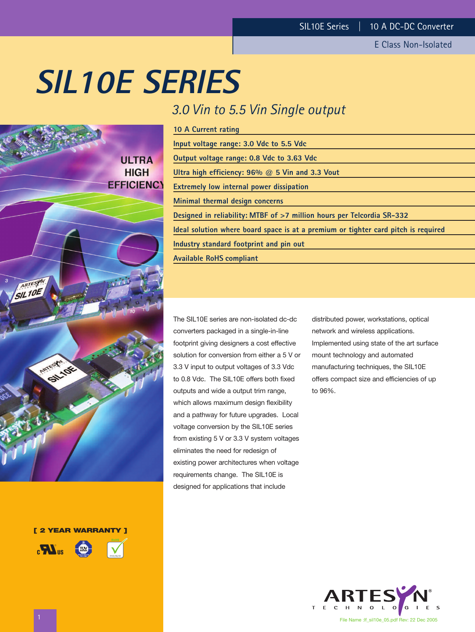E Class Non-Isolated

# **SIL10E SERIES**

# *3.0 Vin to 5.5 Vin Single output*

| 10 A Current rating                                                                |
|------------------------------------------------------------------------------------|
| Input voltage range: 3.0 Vdc to 5.5 Vdc                                            |
| Output voltage range: 0.8 Vdc to 3.63 Vdc                                          |
| Ultra high efficiency: $96\%$ @ 5 Vin and 3.3 Vout                                 |
| <b>Extremely low internal power dissipation</b>                                    |
| Minimal thermal design concerns                                                    |
| Designed in reliability: MTBF of >7 million hours per Telcordia SR-332             |
| Ideal solution where board space is at a premium or tighter card pitch is required |
| Industry standard footprint and pin out                                            |
| <b>Available RoHS compliant</b>                                                    |
|                                                                                    |

The SIL10E series are non-isolated dc-dc converters packaged in a single-in-line footprint giving designers a cost effective solution for conversion from either a 5 V or 3.3 V input to output voltages of 3.3 Vdc to 0.8 Vdc. The SIL10E offers both fixed outputs and wide a output trim range, which allows maximum design flexibility and a pathway for future upgrades. Local voltage conversion by the SIL10E series from existing 5 V or 3.3 V system voltages eliminates the need for redesign of existing power architectures when voltage requirements change. The SIL10E is designed for applications that include

distributed power, workstations, optical network and wireless applications. Implemented using state of the art surface mount technology and automated manufacturing techniques, the SIL10E offers compact size and efficiencies of up to 96%.



**ULTRA HIGH EFFICIENCY** SIL 10E LIOK

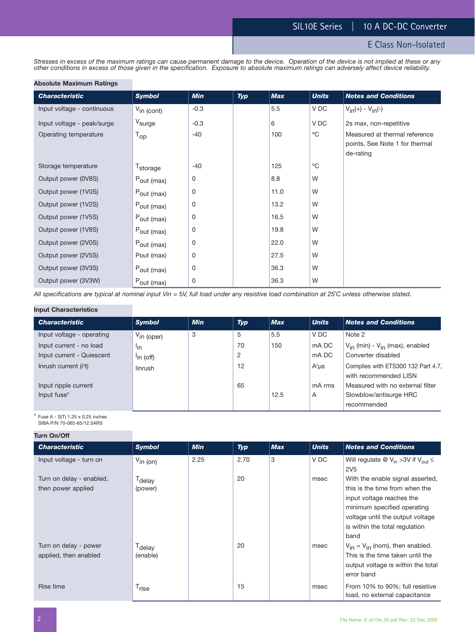*Stresses in excess of the maximum ratings can cause permanent damage to the device. Operation of the device is not implied at these or any other conditions in excess of those given in the specification. Exposure to absolute maximum ratings can adversely affect device reliability.*

#### **Absolute Maximum Ratings**

| <b>Characteristic</b>      | <b>Symbol</b>          | <b>Min</b> | Typ | <b>Max</b> | <b>Units</b> | <b>Notes and Conditions</b>    |
|----------------------------|------------------------|------------|-----|------------|--------------|--------------------------------|
| Input voltage - continuous | $V_{\text{in (cont)}}$ | $-0.3$     |     | 5.5        | V DC         | $V_{in}(+) - V_{in}(-)$        |
| Input voltage - peak/surge | V <sub>surge</sub>     | $-0.3$     |     | 6          | V DC         | 2s max, non-repetitive         |
| Operating temperature      | $T_{op}$               | $-40$      |     | 100        | $^{\circ}C$  | Measured at thermal reference  |
|                            |                        |            |     |            |              | points, See Note 1 for thermal |
|                            |                        |            |     |            |              | de-rating                      |
| Storage temperature        | T <sub>storage</sub>   | $-40$      |     | 125        | $^{\circ}$ C |                                |
| Output power (0V8S)        | $P_{\text{out (max)}}$ | 0          |     | 8.8        | W            |                                |
| Output power (1V0S)        | $P_{\text{out (max)}}$ | 0          |     | 11.0       | W            |                                |
| Output power (1V2S)        | $P_{\text{out (max)}}$ | 0          |     | 13.2       | W            |                                |
| Output power (1V5S)        | Pout (max)             | 0          |     | 16.5       | W            |                                |
| Output power (1V8S)        | Pout (max)             | 0          |     | 19.8       | W            |                                |
| Output power (2V0S)        | $P_{\text{out (max)}}$ | 0          |     | 22.0       | W            |                                |
| Output power (2V5S)        | Pout (max)             | 0          |     | 27.5       | W            |                                |
| Output power (3V3S)        | $P_{\text{out (max)}}$ | 0          |     | 36.3       | W            |                                |
| Output power (3V3W)        | $P_{\text{out (max)}}$ | 0          |     | 36.3       | W            |                                |

*All specifications are typical at nominal input Vin =* 5*V, full load under any resistive load combination at 25*˚*C unless otherwise stated.*

#### **Input Characteristics**

| <b>Characteristic</b>     | <b>Symbol</b>          | <b>Min</b> | <b>Typ</b> | <b>Max</b> | <b>Units</b> | <b>Notes and Conditions</b>                                 |
|---------------------------|------------------------|------------|------------|------------|--------------|-------------------------------------------------------------|
| Input voltage - operating | $V_{\text{in (oper)}}$ | 3          | 5          | 5.5        | V DC         | Note 2                                                      |
| Input current - no load   | lin                    |            | 70         | 150        | mA DC        | V <sub>in</sub> (min) - V <sub>in</sub> (max), enabled      |
| Input current - Quiescent | $\ln$ (off)            |            | 2          |            | mA DC        | Converter disabled                                          |
| Inrush current $(i2t)$    | linrush                |            | 12         |            | $A^2\mu s$   | Complies with ETS300 132 Part 4.7,<br>with recommended LISN |
| Input ripple current      |                        |            | 65         |            | mA rms       | Measured with no external filter                            |
| Input fuse*               |                        |            |            | 12.5       | A            | Slowblow/antisurge HRC                                      |
|                           |                        |            |            |            |              | recommended                                                 |

 $*$  Fuse A - S(T) 1.25 x 0.25 inches SIBA P/N 70-065-65/12.5ARS

**Turn On/Off**

| <b>Turn On/Off</b>                             |                                |            |      |            |              |                                                                                                                                                                                                              |
|------------------------------------------------|--------------------------------|------------|------|------------|--------------|--------------------------------------------------------------------------------------------------------------------------------------------------------------------------------------------------------------|
| <b>Characteristic</b>                          | <b>Symbol</b>                  | <b>Min</b> | Typ  | <b>Max</b> | <b>Units</b> | <b>Notes and Conditions</b>                                                                                                                                                                                  |
| Input voltage - turn on                        | $V_{\text{in (on)}}$           | 2.25       | 2.70 | 3          | V DC         | Will regulate @ $V_{in} > 3V$ if $V_{out} \leq$<br><b>2V5</b>                                                                                                                                                |
| Turn on delay - enabled,<br>then power applied | T <sub>delay</sub><br>(power)  |            | 20   |            | msec         | With the enable signal asserted,<br>this is the time from when the<br>input voltage reaches the<br>minimum specified operating<br>voltage until the output voltage<br>is within the total regulation<br>band |
| Turn on delay - power<br>applied, then enabled | T <sub>delay</sub><br>(enable) |            | 20   |            | msec         | $V_{in} = V_{in}$ (nom), then enabled.<br>This is the time taken until the<br>output voltage is within the total<br>error band                                                                               |
| Rise time                                      | T <sub>rise</sub>              |            | 15   |            | msec         | From 10% to 90%; full resistive<br>load, no external capacitance                                                                                                                                             |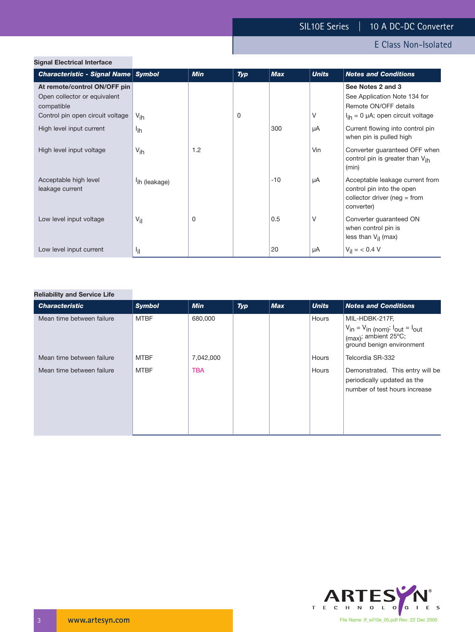# E Class Non-Isolated

| Characteristic - Signal Name Symbol                                        |                           | <b>Min</b> | <b>Typ</b> | <b>Max</b> | <b>Units</b> | <b>Notes and Conditions</b>                                                                                   |
|----------------------------------------------------------------------------|---------------------------|------------|------------|------------|--------------|---------------------------------------------------------------------------------------------------------------|
| At remote/control ON/OFF pin<br>Open collector or equivalent<br>compatible |                           |            |            |            |              | See Notes 2 and 3<br>See Application Note 134 for<br>Remote ON/OFF details                                    |
| Control pin open circuit voltage                                           | $V_{\text{ih}}$           |            | 0          |            | V            | $I_{ih} = 0 \mu A$ ; open circuit voltage                                                                     |
| High level input current                                                   | l <sub>ih</sub>           |            |            | 300        | μA           | Current flowing into control pin<br>when pin is pulled high                                                   |
| High level input voltage                                                   | $V_{\text{ih}}$           | 1.2        |            |            | Vin          | Converter guaranteed OFF when<br>control pin is greater than V <sub>ih</sub><br>(min)                         |
| Acceptable high level<br>leakage current                                   | <sup>l</sup> ih (leakage) |            |            | $-10$      | μA           | Acceptable leakage current from<br>control pin into the open<br>collector driver ( $neg = from$<br>converter) |
| Low level input voltage                                                    | $V_{\text{il}}$           | 0          |            | 0.5        | V            | Converter guaranteed ON<br>when control pin is<br>less than $V_{il}$ (max)                                    |
| Low level input current                                                    | ازا                       |            |            | 20         | μA           | $V_{\text{il}} = 6.4 \text{ V}$                                                                               |

#### **Reliability and Service Life**

| <b>Characteristic</b>     | <b>Symbol</b> | <b>Min</b> | Typ | Max | <b>Units</b> | <b>Notes and Conditions</b>                                                                                             |
|---------------------------|---------------|------------|-----|-----|--------------|-------------------------------------------------------------------------------------------------------------------------|
| Mean time between failure | <b>MTBF</b>   | 680,000    |     |     | Hours        | MIL-HDBK-217F,<br>$V_{in} = V_{in (nom)}$ ; $I_{out} = I_{out}$<br>$(max)$ ; ambient 25°C;<br>ground benign environment |
| Mean time between failure | <b>MTBF</b>   | 7,042,000  |     |     | Hours        | Telcordia SR-332                                                                                                        |
| Mean time between failure | <b>MTBF</b>   | <b>TBA</b> |     |     | Hours        | Demonstrated. This entry will be<br>periodically updated as the<br>number of test hours increase                        |

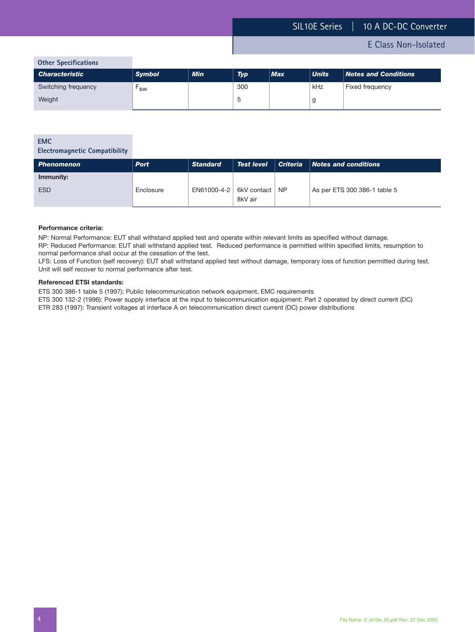**Other Specifications**

| <b>Characteristic</b> | <b>Symbol</b> | <b>Min</b> | <b>Typ</b> | <b>Max</b> | <b>Units</b> | <b>Notes and Conditions</b> |
|-----------------------|---------------|------------|------------|------------|--------------|-----------------------------|
| Switching frequency   | <b>SW</b>     |            | 300        |            | kHz          | Fixed frequency             |
| Weight                |               |            | ىي         |            |              |                             |

#### **EMC**

**Electromagnetic Compatibility**

| <b>Phenomenon</b> | <b>Port</b> | <b>Standard</b> | <b>Test level</b> |           | $ $ Criteria $ $ Notes and conditions |
|-------------------|-------------|-----------------|-------------------|-----------|---------------------------------------|
| Immunity:         |             |                 |                   |           |                                       |
| <b>ESD</b>        | Enclosure   | EN61000-4-2     | 6kV contact       | <b>NP</b> | As per ETS 300 386-1 table 5          |
|                   |             |                 | 8kV air           |           |                                       |

#### **Performance criteria:**

NP: Normal Performance: EUT shall withstand applied test and operate within relevant limits as specified without damage.

RP: Reduced Performance: EUT shall withstand applied test. Reduced performance is permitted within specified limits, resumption to normal performance shall occur at the cessation of the test.

LFS: Loss of Function (self recovery): EUT shall withstand applied test without damage, temporary loss of function permitted during test. Unit will self recover to normal performance after test.

#### **Referenced ETSI standards:**

ETS 300 386-1 table 5 (1997): Public telecommunication network equipment, EMC requirements

ETS 300 132-2 (1996): Power supply interface at the input to telecommunication equipment: Part 2 operated by direct current (DC)

ETR 283 (1997): Transient voltages at interface A on telecommunication direct current (DC) power distributions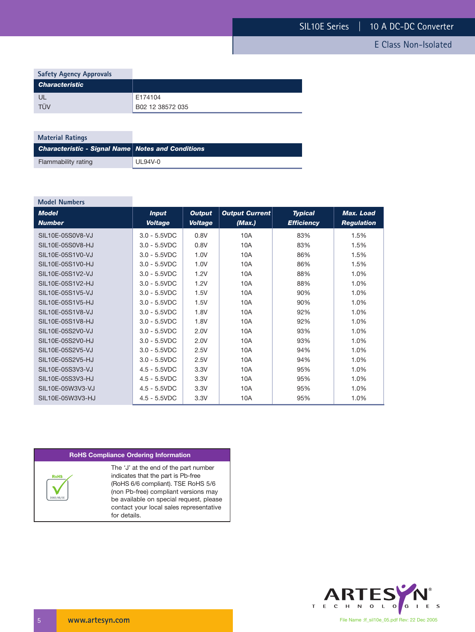| <b>Safety Agency Approvals</b> |                  |
|--------------------------------|------------------|
| <b>Characteristic</b>          |                  |
| UL                             | E174104          |
| TÜV                            | B02 12 38572 035 |

| <b>Material Ratings</b>                                  |         |
|----------------------------------------------------------|---------|
| <b>Characteristic - Signal Name Notes and Conditions</b> |         |
| Flammability rating                                      | UL94V-0 |

| <b>Model Numbers</b>          |                                |                                 |                                 |                                     |                                       |
|-------------------------------|--------------------------------|---------------------------------|---------------------------------|-------------------------------------|---------------------------------------|
| <b>Model</b><br><b>Number</b> | <b>Input</b><br><b>Voltage</b> | <b>Output</b><br><b>Voltage</b> | <b>Output Current</b><br>(Max.) | <b>Typical</b><br><b>Efficiency</b> | <b>Max. Load</b><br><b>Regulation</b> |
| SIL10E-05S0V8-VJ              | $3.0 - 5.5VDC$                 | 0.8V                            | 10A                             | 83%                                 | 1.5%                                  |
| SIL10E-05S0V8-HJ              | $3.0 - 5.5VDC$                 | 0.8V                            | 10A                             | 83%                                 | 1.5%                                  |
| SIL10E-05S1V0-VJ              | $3.0 - 5.5VDC$                 | 1.0V                            | 10A                             | 86%                                 | 1.5%                                  |
| SIL10E-05S1V0-HJ              | $3.0 - 5.5VDC$                 | 1.0V                            | 10A                             | 86%                                 | 1.5%                                  |
| SIL10E-05S1V2-VJ              | $3.0 - 5.5VDC$                 | 1.2V                            | 10A                             | 88%                                 | 1.0%                                  |
| SIL10E-05S1V2-HJ              | $3.0 - 5.5VDC$                 | 1.2V                            | 10A                             | 88%                                 | 1.0%                                  |
| SIL10E-05S1V5-VJ              | $3.0 - 5.5VDC$                 | 1.5V                            | 10A                             | 90%                                 | 1.0%                                  |
| SIL10E-05S1V5-HJ              | $3.0 - 5.5VDC$                 | 1.5V                            | 10A                             | 90%                                 | 1.0%                                  |
| SIL10E-05S1V8-VJ              | $3.0 - 5.5VDC$                 | 1.8V                            | 10A                             | 92%                                 | 1.0%                                  |
| SIL10E-05S1V8-HJ              | $3.0 - 5.5VDC$                 | 1.8V                            | 10A                             | 92%                                 | 1.0%                                  |
| SIL10E-05S2V0-VJ              | $3.0 - 5.5VDC$                 | 2.0V                            | 10A                             | 93%                                 | 1.0%                                  |
| SIL10E-05S2V0-HJ              | $3.0 - 5.5VDC$                 | 2.0V                            | 10A                             | 93%                                 | 1.0%                                  |
| SIL10E-05S2V5-VJ              | $3.0 - 5.5VDC$                 | 2.5V                            | 10A                             | 94%                                 | 1.0%                                  |
| SIL10E-05S2V5-HJ              | $3.0 - 5.5VDC$                 | 2.5V                            | 10A                             | 94%                                 | 1.0%                                  |
| SIL10E-05S3V3-VJ              | $4.5 - 5.5VDC$                 | 3.3V                            | 10A                             | 95%                                 | 1.0%                                  |
| SIL10E-05S3V3-HJ              | $4.5 - 5.5VDC$                 | 3.3V                            | 10A                             | 95%                                 | 1.0%                                  |
| SIL10E-05W3V3-VJ              | $4.5 - 5.5VDC$                 | 3.3V                            | 10A                             | 95%                                 | 1.0%                                  |
| SIL10E-05W3V3-HJ              | $4.5 - 5.5VDC$                 | 3.3V                            | 10A                             | 95%                                 | 1.0%                                  |

#### **RoHS Compliance Ordering Information**



The 'J' at the end of the part number indicates that the part is Pb-free (RoHS 6/6 compliant). TSE RoHS 5/6 (non Pb-free) compliant versions may be available on special request, please contact your local sales representative for details.

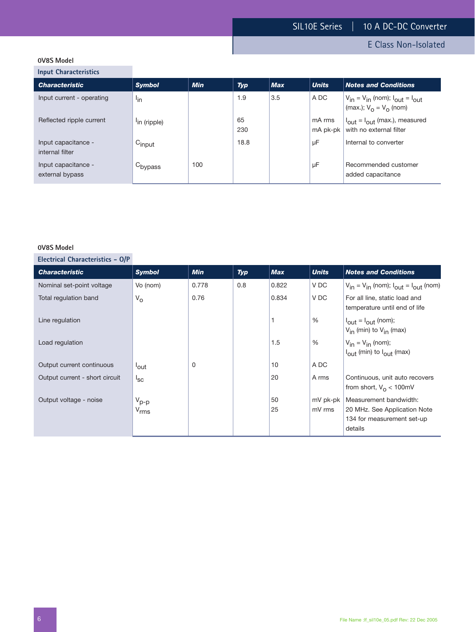E Class Non-Isolated

# **0V8S Model**

**Input Characteristics**

| <b>Notes and Conditions</b>                        |
|----------------------------------------------------|
| $V_{in} = V_{in}$ (nom); $I_{out} = I_{out}$       |
| $I_{\text{out}} = I_{\text{out}}$ (max.), measured |
|                                                    |
| Recommended customer                               |
| $\vert$ (max.); $V_{\Omega} = V_{\Omega}$ (nom)    |

#### **0V8S Model**

| <b>Characteristic</b>          | <b>Symbol</b>        | <b>Min</b> | Typ | <b>Max</b> | <b>Units</b> | <b>Notes and Conditions</b>                                                  |
|--------------------------------|----------------------|------------|-----|------------|--------------|------------------------------------------------------------------------------|
| Nominal set-point voltage      | Vo (nom)             | 0.778      | 0.8 | 0.822      | V DC         | $V_{in} = V_{in}$ (nom); $I_{out} = I_{out}$ (nom)                           |
| Total regulation band          | $V_{\rm O}$          | 0.76       |     | 0.834      | V DC         | For all line, static load and<br>temperature until end of life               |
| Line regulation                |                      |            |     |            | %            | $I_{\text{out}} = I_{\text{out}}$ (nom);<br>$V_{in}$ (min) to $V_{in}$ (max) |
| Load regulation                |                      |            |     | 1.5        | %            | $V_{in} = V_{in}$ (nom);<br>$I_{\text{out}}$ (min) to $I_{\text{out}}$ (max) |
| Output current continuous      | <sup>l</sup> out     | 0          |     | 10         | A DC         |                                                                              |
| Output current - short circuit | ${}^{\mathsf{I}}$ sc |            |     | 20         | A rms        | Continuous, unit auto recovers<br>from short, $V_0 < 100$ mV                 |
| Output voltage - noise         | $V_{p-p}$            |            |     | 50         | mV pk-pk     | Measurement bandwidth:                                                       |
|                                | $V_{rms}$            |            |     | 25         | mV rms       | 20 MHz. See Application Note                                                 |
|                                |                      |            |     |            |              | 134 for measurement set-up                                                   |
|                                |                      |            |     |            |              | details                                                                      |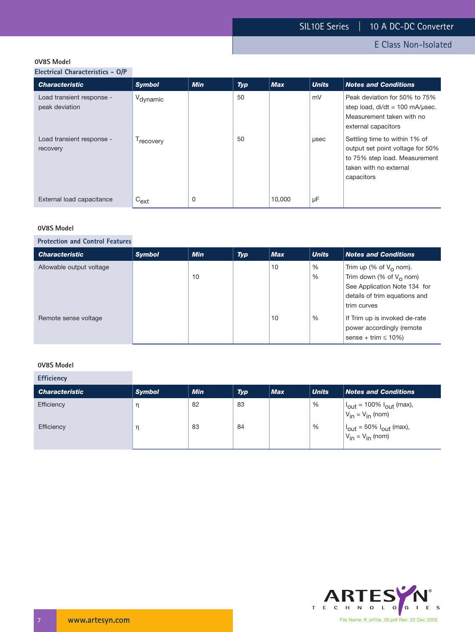E Class Non-Isolated

#### **0V8S Model**

**Electrical Characteristics - O/P**

| <b>Characteristic</b>                        | <b>Symbol</b>         | <b>Min</b> | Typ | <b>Max</b> | <b>Units</b> | <b>Notes and Conditions</b>                                                                                                                |
|----------------------------------------------|-----------------------|------------|-----|------------|--------------|--------------------------------------------------------------------------------------------------------------------------------------------|
| Load transient response -<br>peak deviation  | V <sub>dynamic</sub>  |            | 50  |            | mV           | Peak deviation for 50% to 75%<br>step load, $di/dt = 100$ mA/usec.<br>Measurement taken with no<br>external capacitors                     |
| Load transient response -<br><i>recovery</i> | <sup>1</sup> recovery |            | 50  |            | usec         | Settling time to within 1% of<br>output set point voltage for 50%<br>to 75% step load. Measurement<br>taken with no external<br>capacitors |
| External load capacitance                    | $C_{ext}$             | $\Omega$   |     | 10,000     | μF           |                                                                                                                                            |

#### **0V8S Model**

#### **Protection and Control Features**

| <b>Characteristic</b>    | <b>Symbol</b> | <b>Min</b> | <b>Typ</b> | <b>Max</b> | <b>Units</b> | <b>Notes and Conditions</b>                                                                                                             |
|--------------------------|---------------|------------|------------|------------|--------------|-----------------------------------------------------------------------------------------------------------------------------------------|
| Allowable output voltage |               | 10         |            | 10         | %<br>%       | Trim up (% of $V_0$ nom).<br>Trim down (% of $V_0$ nom)<br>See Application Note 134 for<br>details of trim equations and<br>trim curves |
| Remote sense voltage     |               |            |            | 10         | %            | If Trim up is invoked de-rate<br>power accordingly (remote<br>sense + trim $\leq 10\%$ )                                                |

#### **0V8S Model**

**Efficiency**

| <b>Characteristic</b> | <b>Symbol</b> | <b>Min</b> | <b>Typ</b> | <b>Max</b> | <b>Units</b> | <b>Notes and Conditions</b>                                                 |
|-----------------------|---------------|------------|------------|------------|--------------|-----------------------------------------------------------------------------|
| Efficiency            |               | 82         | 83         |            | %            | $ I_{\text{out}}  = 100\% I_{\text{out}}$ (max),<br>$V_{in} = V_{in}$ (nom) |
| Efficiency            |               | 83         | 84         |            | %            | $ I_{\text{out}} = 50\% I_{\text{out}}$ (max),<br>$V_{in} = V_{in}$ (nom)   |

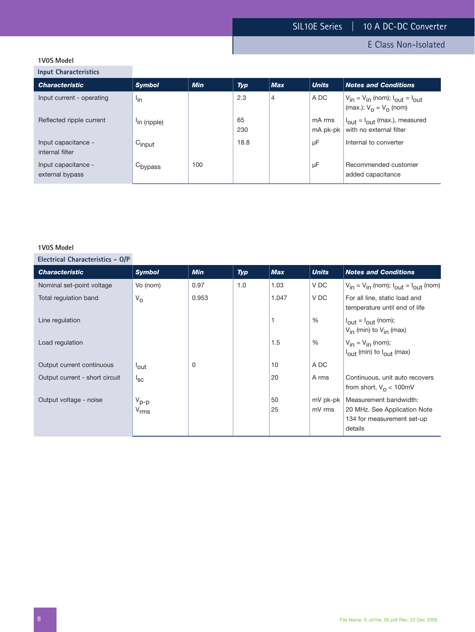E Class Non-Isolated

# **1V0S Model**

**Input Characteristics**

| <b>Characteristic</b>                  | <b>Symbol</b>            | <b>Min</b> | <b>Typ</b> | <b>Max</b>     | <b>Units</b>       | <b>Notes and Conditions</b>                                                       |
|----------------------------------------|--------------------------|------------|------------|----------------|--------------------|-----------------------------------------------------------------------------------|
| Input current - operating              | <sup>l</sup> in          |            | 2.3        | $\overline{4}$ | A DC               | $V_{in} = V_{in}$ (nom); $I_{out} = I_{out}$<br>$\vert$ (max.); $V_0 = V_0$ (nom) |
| Reflected ripple current               | <sup>l</sup> in (ripple) |            | 65<br>230  |                | mA rms<br>mA pk-pk | $I_{\text{out}} = I_{\text{out}}$ (max.), measured<br>with no external filter     |
| Input capacitance -<br>internal filter | Cinput                   |            | 18.8       |                | μF                 | Internal to converter                                                             |
| Input capacitance -<br>external bypass | C <sub>bypass</sub>      | 100        |            |                | μF                 | Recommended customer<br>added capacitance                                         |

#### **1V0S Model**

| <b>Characteristic</b>          | <b>Symbol</b>        | <b>Min</b> | Typ | <b>Max</b> | <b>Units</b> | <b>Notes and Conditions</b>                                                  |
|--------------------------------|----------------------|------------|-----|------------|--------------|------------------------------------------------------------------------------|
| Nominal set-point voltage      | Vo (nom)             | 0.97       | 1.0 | 1.03       | V DC         | $V_{in} = V_{in}$ (nom); $I_{out} = I_{out}$ (nom)                           |
| Total regulation band          | $V_{\rm O}$          | 0.953      |     | 1.047      | V DC         | For all line, static load and<br>temperature until end of life               |
| Line regulation                |                      |            |     |            | $\%$         | $I_{\text{out}} = I_{\text{out}}$ (nom);<br>$V_{in}$ (min) to $V_{in}$ (max) |
| Load regulation                |                      |            |     | 1.5        | %            | $V_{in} = V_{in}$ (nom);<br>$I_{\text{out}}$ (min) to $I_{\text{out}}$ (max) |
| Output current continuous      | <sup>l</sup> out     | 0          |     | 10         | A DC         |                                                                              |
| Output current - short circuit | ${}^{\mathsf{I}}$ sc |            |     | 20         | A rms        | Continuous, unit auto recovers<br>from short, $V_{\Omega}$ < 100mV           |
| Output voltage - noise         | $V_{p-p}$            |            |     | 50         | mV pk-pk     | Measurement bandwidth:                                                       |
|                                | $V_{rms}$            |            |     | 25         | mV rms       | 20 MHz. See Application Note                                                 |
|                                |                      |            |     |            |              | 134 for measurement set-up                                                   |
|                                |                      |            |     |            |              | details                                                                      |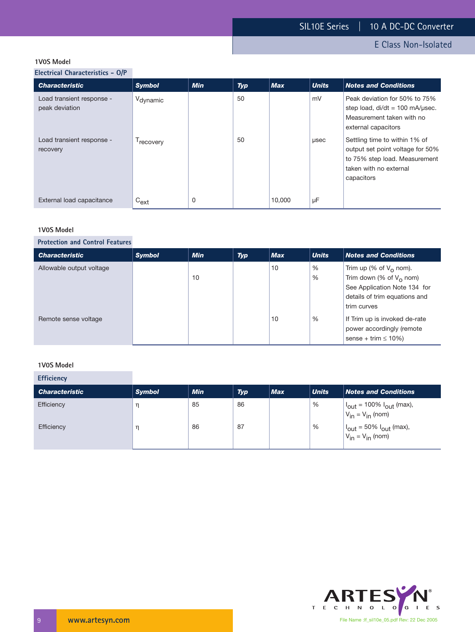E Class Non-Isolated

#### **1V0S Model**

**Electrical Characteristics - O/P**

| <b>Characteristic</b>                       | <b>Symbol</b>         | <b>Min</b> | <b>Typ</b> | <b>Max</b> | <b>Units</b> | <b>Notes and Conditions</b>                                                                                                                |
|---------------------------------------------|-----------------------|------------|------------|------------|--------------|--------------------------------------------------------------------------------------------------------------------------------------------|
| Load transient response -<br>peak deviation | V <sub>dynamic</sub>  |            | 50         |            | mV           | Peak deviation for 50% to 75%<br>step load, $di/dt = 100$ mA/usec.<br>Measurement taken with no<br>external capacitors                     |
| Load transient response -<br>recovery       | <sup>1</sup> recovery |            | 50         |            | usec         | Settling time to within 1% of<br>output set point voltage for 50%<br>to 75% step load. Measurement<br>taken with no external<br>capacitors |
| External load capacitance                   | $C_{ext}$             | 0          |            | 10.000     | μF           |                                                                                                                                            |

#### **1V0S Model**

#### **Protection and Control Features**

| <b>Characteristic</b>    | <b>Symbol</b> | <b>Min</b> | <b>Typ</b> | <b>Max</b> | <b>Units</b> | <b>Notes and Conditions</b>                                                                                                             |
|--------------------------|---------------|------------|------------|------------|--------------|-----------------------------------------------------------------------------------------------------------------------------------------|
| Allowable output voltage |               | 10         |            | 10         | %<br>%       | Trim up (% of $V_0$ nom).<br>Trim down (% of $V_0$ nom)<br>See Application Note 134 for<br>details of trim equations and<br>trim curves |
| Remote sense voltage     |               |            |            | 10         | %            | If Trim up is invoked de-rate<br>power accordingly (remote<br>sense + trim $\leq 10\%$ )                                                |

#### **1V0S Model**

**Efficiency**

| <b>Characteristic</b> | <b>Symbol</b> | <b>Min</b> | <b>Typ</b> | <b>Max</b> | <b>Units</b> | <b>Notes and Conditions</b>                                                 |
|-----------------------|---------------|------------|------------|------------|--------------|-----------------------------------------------------------------------------|
| Efficiency            |               | 85         | 86         |            | %            | $ I_{\text{out}}  = 100\% I_{\text{out}}$ (max),<br>$V_{in} = V_{in}$ (nom) |
| Efficiency            |               | 86         | 87         |            | $\%$         | $ I_{\text{out}} = 50\% I_{\text{out}}$ (max),<br>$V_{in} = V_{in}$ (nom)   |

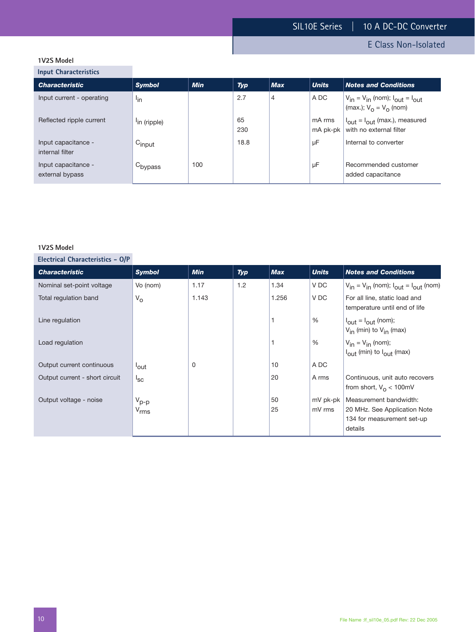E Class Non-Isolated

# **1V2S Model**

**Input Characteristics**

| $$ pace of $$ and $$ and $$ and $$     |                          |            |            |                |                    |                                                                                                 |
|----------------------------------------|--------------------------|------------|------------|----------------|--------------------|-------------------------------------------------------------------------------------------------|
| <b>Characteristic</b>                  | <b>Symbol</b>            | <b>Min</b> | <b>Typ</b> | <b>Max</b>     | <b>Units</b>       | <b>Notes and Conditions</b>                                                                     |
| Input current - operating              | <sup>l</sup> in          |            | 2.7        | $\overline{4}$ | A DC               | $V_{in} = V_{in}$ (nom); $I_{out} = I_{out}$<br>$\vert$ (max.); $V_{\Omega} = V_{\Omega}$ (nom) |
| Reflected ripple current               | <sup>l</sup> in (ripple) |            | 65<br>230  |                | mA rms<br>mA pk-pk | $I_{\text{out}} = I_{\text{out}}$ (max.), measured<br>with no external filter                   |
| Input capacitance -<br>internal filter | $C_{input}$              |            | 18.8       |                | μF                 | Internal to converter                                                                           |
| Input capacitance -<br>external bypass | C <sub>bypass</sub>      | 100        |            |                | μF                 | Recommended customer<br>added capacitance                                                       |
|                                        |                          |            |            |                |                    |                                                                                                 |

#### **1V2S Model**

| <b>Characteristic</b>          | <b>Symbol</b>        | <b>Min</b> | <b>Typ</b> | <b>Max</b> | <b>Units</b> | <b>Notes and Conditions</b>                                                  |
|--------------------------------|----------------------|------------|------------|------------|--------------|------------------------------------------------------------------------------|
| Nominal set-point voltage      | Vo (nom)             | 1.17       | 1.2        | 1.34       | V DC         | $V_{in} = V_{in}$ (nom); $I_{out} = I_{out}$ (nom)                           |
| Total regulation band          | $V_{\rm O}$          | 1.143      |            | 1.256      | V DC         | For all line, static load and<br>temperature until end of life               |
| Line regulation                |                      |            |            |            | %            | $I_{\text{out}} = I_{\text{out}}$ (nom);<br>$V_{in}$ (min) to $V_{in}$ (max) |
| Load regulation                |                      |            |            |            | %            | $V_{in} = V_{in}$ (nom);<br>$I_{\text{out}}$ (min) to $I_{\text{out}}$ (max) |
| Output current continuous      | <sup>l</sup> out     | 0          |            | 10         | A DC         |                                                                              |
| Output current - short circuit | ${}^{\mathsf{I}}$ sc |            |            | 20         | A rms        | Continuous, unit auto recovers<br>from short, $V_0 < 100$ mV                 |
| Output voltage - noise         | $V_{p-p}$            |            |            | 50         | mV pk-pk     | Measurement bandwidth:                                                       |
|                                | $V_{rms}$            |            |            | 25         | mV rms       | 20 MHz. See Application Note<br>134 for measurement set-up<br>details        |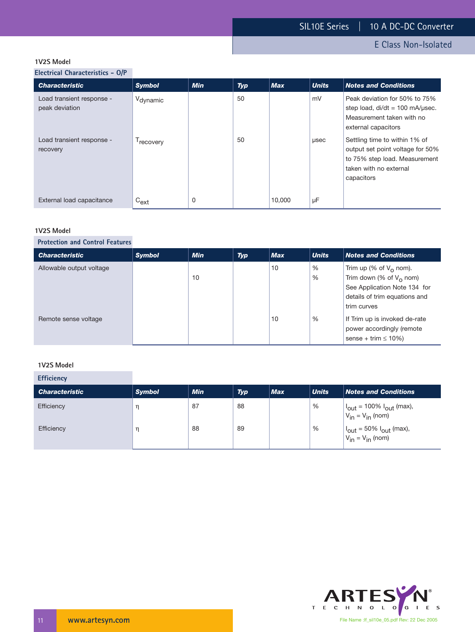E Class Non-Isolated

#### **1V2S Model**

**Electrical Characteristics - O/P**

| <b>Characteristic</b>                       | <b>Symbol</b>         | <b>Min</b> | <b>Typ</b> | <b>Max</b> | <b>Units</b> | <b>Notes and Conditions</b>                                                                                                                |
|---------------------------------------------|-----------------------|------------|------------|------------|--------------|--------------------------------------------------------------------------------------------------------------------------------------------|
| Load transient response -<br>peak deviation | V <sub>dynamic</sub>  |            | 50         |            | mV           | Peak deviation for 50% to 75%<br>step load, di/dt = 100 mA/usec.<br>Measurement taken with no<br>external capacitors                       |
| Load transient response -<br>recovery       | <sup>1</sup> recovery |            | 50         |            | usec         | Settling time to within 1% of<br>output set point voltage for 50%<br>to 75% step load. Measurement<br>taken with no external<br>capacitors |
| External load capacitance                   | $C_{ext}$             | 0          |            | 10,000     | μF           |                                                                                                                                            |

#### **1V2S Model**

#### **Protection and Control Features**

| <b>Characteristic</b>    | <b>Symbol</b> | <b>Min</b> | <b>Typ</b> | <b>Max</b> | <b>Units</b> | <b>Notes and Conditions</b>                                                                                                             |
|--------------------------|---------------|------------|------------|------------|--------------|-----------------------------------------------------------------------------------------------------------------------------------------|
| Allowable output voltage |               | 10         |            | 10         | %<br>%       | Trim up (% of $V_0$ nom).<br>Trim down (% of $V_0$ nom)<br>See Application Note 134 for<br>details of trim equations and<br>trim curves |
| Remote sense voltage     |               |            |            | 10         | %            | If Trim up is invoked de-rate<br>power accordingly (remote<br>sense + trim $\leq 10\%$ )                                                |

#### **1V2S Model**

**Efficiency**

| __________            |               |            |            |            |              |                                                                             |
|-----------------------|---------------|------------|------------|------------|--------------|-----------------------------------------------------------------------------|
| <b>Characteristic</b> | <b>Symbol</b> | <b>Min</b> | <b>Typ</b> | <b>Max</b> | <b>Units</b> | <b>Notes and Conditions</b>                                                 |
| Efficiency            |               | 87         | 88         |            | %            | $ I_{\text{out}}  = 100\% I_{\text{out}}$ (max),<br>$V_{in} = V_{in}$ (nom) |
| Efficiency            |               | 88         | 89         |            | %            | $ I_{\text{out}} = 50\% I_{\text{out}}$ (max),<br>$V_{in} = V_{in}$ (nom)   |

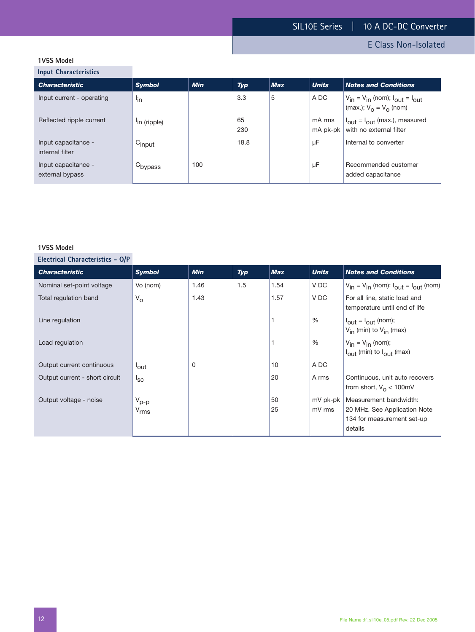E Class Non-Isolated

# **1V5S Model**

**Input Characteristics**

| $$ pace of $$ and $$ and $$ and $$     |                          |            |            |            |                    |                                                                                                 |
|----------------------------------------|--------------------------|------------|------------|------------|--------------------|-------------------------------------------------------------------------------------------------|
| <b>Characteristic</b>                  | <b>Symbol</b>            | <b>Min</b> | <b>Typ</b> | <b>Max</b> | <b>Units</b>       | <b>Notes and Conditions</b>                                                                     |
| Input current - operating              | <sup>l</sup> in          |            | 3.3        | 5          | A DC               | $V_{in} = V_{in}$ (nom); $I_{out} = I_{out}$<br>$\vert$ (max.); $V_{\Omega} = V_{\Omega}$ (nom) |
| Reflected ripple current               | <sup>l</sup> in (ripple) |            | 65<br>230  |            | mA rms<br>mA pk-pk | $I_{\text{out}} = I_{\text{out}}$ (max.), measured<br>with no external filter                   |
| Input capacitance -<br>internal filter | $C_{input}$              |            | 18.8       |            | μF                 | Internal to converter                                                                           |
| Input capacitance -<br>external bypass | C <sub>bypass</sub>      | 100        |            |            | μF                 | Recommended customer<br>added capacitance                                                       |
|                                        |                          |            |            |            |                    |                                                                                                 |

#### **1V5S Model**

| <b>Characteristic</b>          | <b>Symbol</b>        | <b>Min</b> | <b>Typ</b> | <b>Max</b> | <b>Units</b> | <b>Notes and Conditions</b>                                                  |
|--------------------------------|----------------------|------------|------------|------------|--------------|------------------------------------------------------------------------------|
| Nominal set-point voltage      | Vo (nom)             | 1.46       | 1.5        | 1.54       | V DC         | $V_{in} = V_{in}$ (nom); $I_{out} = I_{out}$ (nom)                           |
| Total regulation band          | $V_{\rm O}$          | 1.43       |            | 1.57       | V DC         | For all line, static load and<br>temperature until end of life               |
| Line regulation                |                      |            |            |            | %            | $I_{\text{out}} = I_{\text{out}}$ (nom);<br>$V_{in}$ (min) to $V_{in}$ (max) |
| Load regulation                |                      |            |            |            | %            | $V_{in} = V_{in}$ (nom);<br>$I_{\text{out}}$ (min) to $I_{\text{out}}$ (max) |
| Output current continuous      | <sup>l</sup> out     | 0          |            | 10         | A DC         |                                                                              |
| Output current - short circuit | ${}^{\mathsf{I}}$ sc |            |            | 20         | A rms        | Continuous, unit auto recovers<br>from short, $V_0 < 100$ mV                 |
| Output voltage - noise         | $V_{p-p}$            |            |            | 50         | mV pk-pk     | Measurement bandwidth:                                                       |
|                                | $V_{rms}$            |            |            | 25         | mV rms       | 20 MHz. See Application Note<br>134 for measurement set-up<br>details        |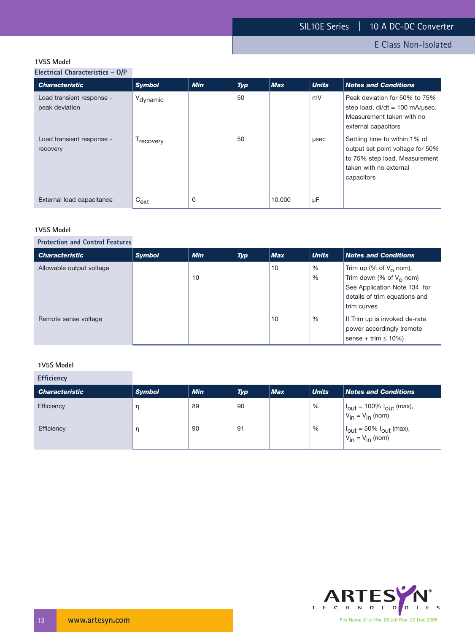E Class Non-Isolated

#### **1V5S Model**

**Electrical Characteristics - O/P**

| <b>Characteristic</b>                       | <b>Symbol</b>         | <b>Min</b> | Typ | <b>Max</b> | <b>Units</b> | <b>Notes and Conditions</b>                                                                                                                |
|---------------------------------------------|-----------------------|------------|-----|------------|--------------|--------------------------------------------------------------------------------------------------------------------------------------------|
| Load transient response -<br>peak deviation | V <sub>dynamic</sub>  |            | 50  |            | mV           | Peak deviation for 50% to 75%<br>step load, $di/dt = 100$ mA/usec.<br>Measurement taken with no<br>external capacitors                     |
| Load transient response -<br>recovery       | <sup>1</sup> recovery |            | 50  |            | usec         | Settling time to within 1% of<br>output set point voltage for 50%<br>to 75% step load. Measurement<br>taken with no external<br>capacitors |
| External load capacitance                   | $C_{ext}$             | 0          |     | 10,000     | μF           |                                                                                                                                            |

#### **1V5S Model**

#### **Protection and Control Features**

| <b>Characteristic</b>    | <b>Symbol</b> | <b>Min</b> | <b>Typ</b> | <b>Max</b> | <b>Units</b> | <b>Notes and Conditions</b>                                                                                                                    |
|--------------------------|---------------|------------|------------|------------|--------------|------------------------------------------------------------------------------------------------------------------------------------------------|
| Allowable output voltage |               | 10         |            | 10         | %<br>%       | Trim up (% of $V_{\Omega}$ nom).<br>Trim down (% of $V_0$ nom)<br>See Application Note 134 for<br>details of trim equations and<br>trim curves |
| Remote sense voltage     |               |            |            | 10         | %            | If Trim up is invoked de-rate<br>power accordingly (remote<br>sense + trim $\leq 10\%$ )                                                       |

#### **1V5S Model**

**Efficiency**

| <b>Characteristic</b> | <b>Symbol</b> | <b>Min</b> | <b>Typ</b> | <b>Max</b> | <b>Units</b> | <b>Notes and Conditions</b>                                                 |
|-----------------------|---------------|------------|------------|------------|--------------|-----------------------------------------------------------------------------|
| Efficiency            |               | 89         | 90         |            | %            | $ I_{\text{out}}  = 100\% I_{\text{out}}$ (max),<br>$V_{in} = V_{in}$ (nom) |
| Efficiency            |               | 90         | 91         |            | %            | $ I_{\text{out}} = 50\% I_{\text{out}}$ (max),<br>$V_{in} = V_{in}$ (nom)   |

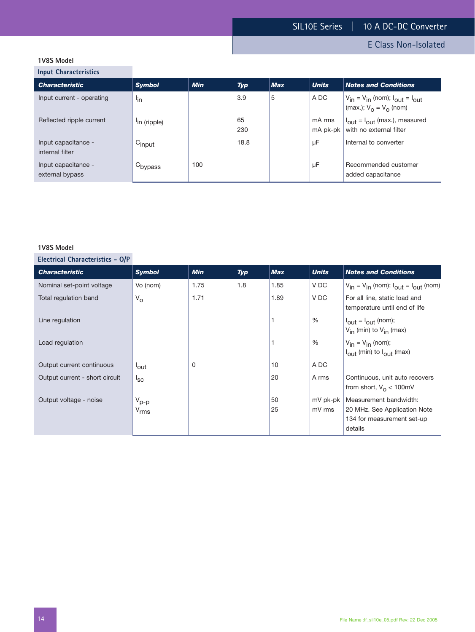E Class Non-Isolated

# **1V8S Model**

**Input Characteristics**

| <b>Characteristic</b>                  | <b>Symbol</b>            | <b>Min</b> | <b>Typ</b> | <b>Max</b> | <b>Units</b>       | <b>Notes and Conditions</b>                                                   |
|----------------------------------------|--------------------------|------------|------------|------------|--------------------|-------------------------------------------------------------------------------|
| Input current - operating              | l <sub>in</sub>          |            | 3.9        | 5          | A DC               | $V_{in} = V_{in}$ (nom); $I_{out} = I_{out}$<br>(max.); $V_0 = V_0$ (nom)     |
| Reflected ripple current               | <sup>l</sup> in (ripple) |            | 65<br>230  |            | mA rms<br>mA pk-pk | $I_{\text{out}} = I_{\text{out}}$ (max.), measured<br>with no external filter |
| Input capacitance -<br>internal filter | Cinput                   |            | 18.8       |            | μF                 | Internal to converter                                                         |
| Input capacitance -<br>external bypass | C <sub>bypass</sub>      | 100        |            |            | μF                 | Recommended customer<br>added capacitance                                     |

#### **1V8S Model**

| <b>Characteristic</b>          | <b>Symbol</b>        | <b>Min</b> | Typ | <b>Max</b> | <b>Units</b> | <b>Notes and Conditions</b>                                                  |
|--------------------------------|----------------------|------------|-----|------------|--------------|------------------------------------------------------------------------------|
| Nominal set-point voltage      | Vo (nom)             | 1.75       | 1.8 | 1.85       | V DC         | $V_{in} = V_{in}$ (nom); $I_{out} = I_{out}$ (nom)                           |
| Total regulation band          | $V_{\rm O}$          | 1.71       |     | 1.89       | V DC         | For all line, static load and<br>temperature until end of life               |
| Line regulation                |                      |            |     |            | $\%$         | $I_{\text{out}} = I_{\text{out}}$ (nom);<br>$V_{in}$ (min) to $V_{in}$ (max) |
| Load regulation                |                      |            |     |            | %            | $V_{in} = V_{in}$ (nom);<br>$I_{\text{out}}$ (min) to $I_{\text{out}}$ (max) |
| Output current continuous      | <sup>l</sup> out     | $\Omega$   |     | 10         | A DC         |                                                                              |
| Output current - short circuit | ${}^{\mathsf{I}}$ sc |            |     | 20         | A rms        | Continuous, unit auto recovers<br>from short, $V_0 < 100$ mV                 |
| Output voltage - noise         | $V_{p-p}$            |            |     | 50         | mV pk-pk     | Measurement bandwidth:                                                       |
|                                | $V_{rms}$            |            |     | 25         | mV rms       | 20 MHz. See Application Note                                                 |
|                                |                      |            |     |            |              | 134 for measurement set-up                                                   |
|                                |                      |            |     |            |              | details                                                                      |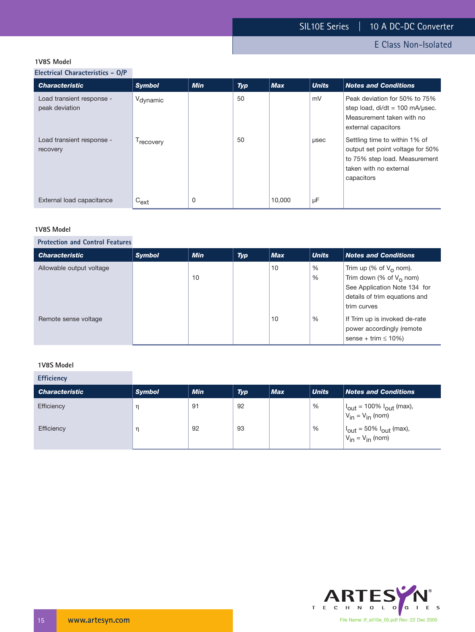E Class Non-Isolated

#### **1V8S Model**

**Electrical Characteristics - O/P**

| <b>Characteristic</b>                       | <b>Symbol</b>         | <b>Min</b> | <b>Typ</b> | <b>Max</b> | <b>Units</b> | <b>Notes and Conditions</b>                                                                                                                |
|---------------------------------------------|-----------------------|------------|------------|------------|--------------|--------------------------------------------------------------------------------------------------------------------------------------------|
| Load transient response -<br>peak deviation | V <sub>dynamic</sub>  |            | 50         |            | mV           | Peak deviation for 50% to 75%<br>step load, $di/dt = 100$ mA/usec.<br>Measurement taken with no<br>external capacitors                     |
| Load transient response -<br>recovery       | <sup>1</sup> recovery |            | 50         |            | usec         | Settling time to within 1% of<br>output set point voltage for 50%<br>to 75% step load. Measurement<br>taken with no external<br>capacitors |
| External load capacitance                   | $C_{ext}$             | 0          |            | 10,000     | μF           |                                                                                                                                            |

#### **1V8S Model**

#### **Protection and Control Features**

| <b>Characteristic</b>    | <b>Symbol</b> | <b>Min</b> | <b>Typ</b> | <b>Max</b> | <b>Units</b> | <b>Notes and Conditions</b>                                                                                                                    |
|--------------------------|---------------|------------|------------|------------|--------------|------------------------------------------------------------------------------------------------------------------------------------------------|
| Allowable output voltage |               | 10         |            | 10         | %<br>%       | Trim up (% of $V_{\Omega}$ nom).<br>Trim down (% of $V_0$ nom)<br>See Application Note 134 for<br>details of trim equations and<br>trim curves |
| Remote sense voltage     |               |            |            | 10         | %            | If Trim up is invoked de-rate<br>power accordingly (remote<br>sense + trim $\leq 10\%$ )                                                       |

#### **1V8S Model**

**Efficiency**

| <b>Characteristic</b> | <b>Symbol</b> | <b>Min</b> | <b>Typ</b> | <b>Max</b> | <b>Units</b> | <b>Notes and Conditions</b>                                                 |
|-----------------------|---------------|------------|------------|------------|--------------|-----------------------------------------------------------------------------|
| Efficiency            |               | 91         | 92         |            | %            | $ I_{\text{out}}  = 100\% I_{\text{out}}$ (max),<br>$V_{in} = V_{in}$ (nom) |
| Efficiency            |               | 92         | 93         |            | %            | $ I_{\text{out}} = 50\% I_{\text{out}}$ (max),<br>$V_{in} = V_{in}$ (nom)   |

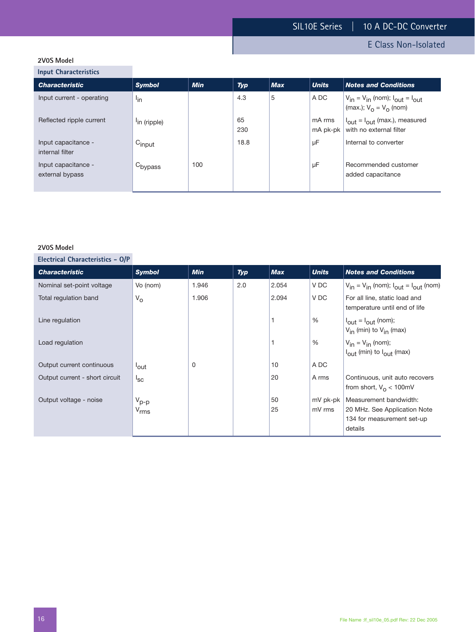E Class Non-Isolated

# **2V0S Model**

**Input Characteristics**

| <b>Characteristic</b>                  | <b>Symbol</b>            | <b>Min</b> | <b>Typ</b> | <b>Max</b> | <b>Units</b>       | <b>Notes and Conditions</b>                                                   |
|----------------------------------------|--------------------------|------------|------------|------------|--------------------|-------------------------------------------------------------------------------|
| Input current - operating              | l <sub>in</sub>          |            | 4.3        | 5          | A DC               | $V_{in}$ = $V_{in}$ (nom); $I_{out}$ = $I_{out}$<br>(max.); $V_0 = V_0$ (nom) |
| Reflected ripple current               | <sup>l</sup> in (ripple) |            | 65<br>230  |            | mA rms<br>mA pk-pk | $I_{\text{out}} = I_{\text{out}}$ (max.), measured<br>with no external filter |
| Input capacitance -<br>internal filter | $C_{input}$              |            | 18.8       |            | μF                 | Internal to converter                                                         |
| Input capacitance -<br>external bypass | C <sub>bypass</sub>      | 100        |            |            | μF                 | Recommended customer<br>added capacitance                                     |

#### **2V0S Model**

| <b>Characteristic</b>          | <b>Symbol</b>    | <b>Min</b> | <b>Typ</b> | <b>Max</b> | <b>Units</b>  | <b>Notes and Conditions</b>                                                  |
|--------------------------------|------------------|------------|------------|------------|---------------|------------------------------------------------------------------------------|
| Nominal set-point voltage      | Vo (nom)         | 1.946      | 2.0        | 2.054      | V DC          | $V_{in} = V_{in}$ (nom); $I_{out} = I_{out}$ (nom)                           |
| Total regulation band          | $V_{\rm O}$      | 1.906      |            | 2.094      | V DC          | For all line, static load and<br>temperature until end of life               |
| Line regulation                |                  |            |            |            | $\frac{0}{0}$ | $I_{\text{out}} = I_{\text{out}}$ (nom);<br>$V_{in}$ (min) to $V_{in}$ (max) |
| Load regulation                |                  |            |            |            | %             | $V_{in} = V_{in}$ (nom);<br>$I_{\text{out}}$ (min) to $I_{\text{out}}$ (max) |
| Output current continuous      | <sup>l</sup> out | 0          |            | 10         | A DC          |                                                                              |
| Output current - short circuit | $I_{SC}$         |            |            | 20         | A rms         | Continuous, unit auto recovers<br>from short, $V_0 < 100$ mV                 |
| Output voltage - noise         | $V_{p-p}$        |            |            | 50         | mV pk-pk      | Measurement bandwidth:                                                       |
|                                | $V_{rms}$        |            |            | 25         | mV rms        | 20 MHz. See Application Note                                                 |
|                                |                  |            |            |            |               | 134 for measurement set-up                                                   |
|                                |                  |            |            |            |               | details                                                                      |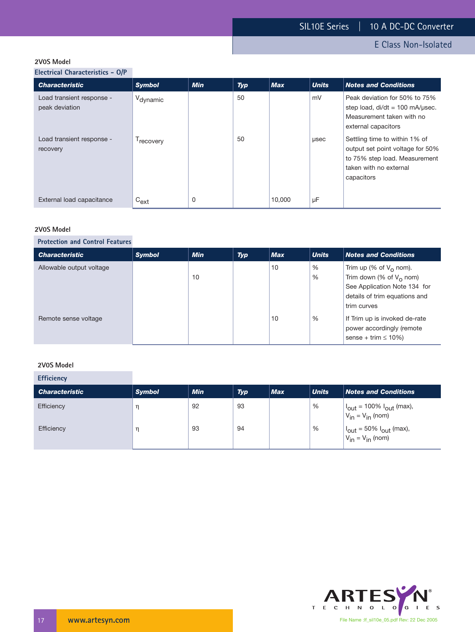E Class Non-Isolated

#### **2V0S Model**

**Electrical Characteristics - O/P**

| <b>Characteristic</b>                       | <b>Symbol</b>         | <b>Min</b> | <b>Typ</b> | <b>Max</b> | <b>Units</b> | <b>Notes and Conditions</b>                                                                                                                |
|---------------------------------------------|-----------------------|------------|------------|------------|--------------|--------------------------------------------------------------------------------------------------------------------------------------------|
| Load transient response -<br>peak deviation | V <sub>dynamic</sub>  |            | 50         |            | mV           | Peak deviation for 50% to 75%<br>step load, $di/dt = 100$ mA/usec.<br>Measurement taken with no<br>external capacitors                     |
| Load transient response -<br>recovery       | <sup>1</sup> recovery |            | 50         |            | usec         | Settling time to within 1% of<br>output set point voltage for 50%<br>to 75% step load. Measurement<br>taken with no external<br>capacitors |
| External load capacitance                   | $C_{ext}$             | 0          |            | 10,000     | μF           |                                                                                                                                            |

#### **2V0S Model**

#### **Protection and Control Features**

| <b>Characteristic</b>    | <b>Symbol</b> | <b>Min</b> | <b>Typ</b> | <b>Max</b> | <b>Units</b> | <b>Notes and Conditions</b>                                                                                                                               |
|--------------------------|---------------|------------|------------|------------|--------------|-----------------------------------------------------------------------------------------------------------------------------------------------------------|
| Allowable output voltage |               | 10         |            | 10         | %<br>%       | Trim up (% of V <sub>o</sub> nom).<br>Trim down (% of V <sub>o</sub> nom)<br>See Application Note 134 for<br>details of trim equations and<br>trim curves |
| Remote sense voltage     |               |            |            | 10         | %            | If Trim up is invoked de-rate<br>power accordingly (remote<br>sense + trim $\leq 10\%$ )                                                                  |

#### **2V0S Model**

**Efficiency**

| <b>Characteristic</b> | <b>Symbol</b> | <b>Min</b> | <b>Typ</b> | <b>Max</b> | <b>Units</b> | <b>Notes and Conditions</b>                                                 |
|-----------------------|---------------|------------|------------|------------|--------------|-----------------------------------------------------------------------------|
| Efficiency            |               | 92         | 93         |            | %            | $ I_{\text{out}}  = 100\% I_{\text{out}}$ (max),<br>$V_{in} = V_{in}$ (nom) |
| Efficiency            |               | 93         | 94         |            | %            | $ I_{\text{out}} = 50\% I_{\text{out}}$ (max),<br>$V_{in} = V_{in}$ (nom)   |

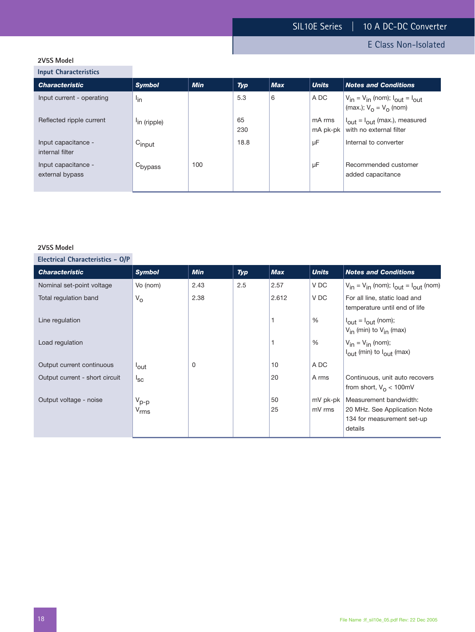# E Class Non-Isolated

# **2V5S Model**

**Input Characteristics**

| mpac characteristics                   |                          |            |            |            |                    |                                                                                         |
|----------------------------------------|--------------------------|------------|------------|------------|--------------------|-----------------------------------------------------------------------------------------|
| <b>Characteristic</b>                  | <b>Symbol</b>            | <b>Min</b> | <b>Typ</b> | <b>Max</b> | <b>Units</b>       | <b>Notes and Conditions</b>                                                             |
| Input current - operating              | l <sub>in</sub>          |            | 5.3        | 6          | A DC               | $V_{in} = V_{in}$ (nom); $I_{out} = I_{out}$<br>(max.); $V_{\Omega} = V_{\Omega}$ (nom) |
| Reflected ripple current               | <sup>l</sup> in (ripple) |            | 65<br>230  |            | mA rms<br>mA pk-pk | $I_{\text{out}} = I_{\text{out}}$ (max.), measured<br>with no external filter           |
| Input capacitance -<br>internal filter | $C_{input}$              |            | 18.8       |            | μF                 | Internal to converter                                                                   |
| Input capacitance -<br>external bypass | C <sub>bypass</sub>      | 100        |            |            | μF                 | Recommended customer<br>added capacitance                                               |

#### **2V5S Model**

| <b>Characteristic</b>          | <b>Symbol</b>        | <b>Min</b> | <b>Typ</b> | <b>Max</b> | <b>Units</b> | <b>Notes and Conditions</b>                                                  |
|--------------------------------|----------------------|------------|------------|------------|--------------|------------------------------------------------------------------------------|
| Nominal set-point voltage      | Vo (nom)             | 2.43       | 2.5        | 2.57       | V DC         | $V_{in} = V_{in}$ (nom); $I_{out} = I_{out}$ (nom)                           |
| Total regulation band          | $V_{\rm O}$          | 2.38       |            | 2.612      | V DC         | For all line, static load and<br>temperature until end of life               |
| Line regulation                |                      |            |            |            | %            | $I_{\text{out}} = I_{\text{out}}$ (nom);<br>$V_{in}$ (min) to $V_{in}$ (max) |
| Load regulation                |                      |            |            |            | %            | $V_{in} = V_{in}$ (nom);<br>$I_{\text{out}}$ (min) to $I_{\text{out}}$ (max) |
| Output current continuous      | <sup>l</sup> out     | 0          |            | 10         | A DC         |                                                                              |
| Output current - short circuit | ${}^{\mathsf{I}}$ sc |            |            | 20         | A rms        | Continuous, unit auto recovers<br>from short, $V_0 < 100$ mV                 |
| Output voltage - noise         | $V_{p-p}$            |            |            | 50         | mV pk-pk     | Measurement bandwidth:                                                       |
|                                | $V_{\rm rms}$        |            |            | 25         | mV rms       | 20 MHz. See Application Note<br>134 for measurement set-up<br>details        |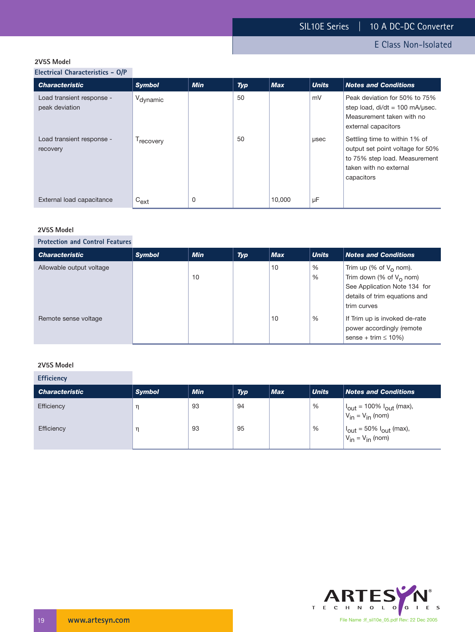E Class Non-Isolated

#### **2V5S Model**

**Electrical Characteristics - O/P**

| <b>Characteristic</b>                       | <b>Symbol</b>         | <b>Min</b> | <b>Typ</b> | <b>Max</b> | <b>Units</b> | <b>Notes and Conditions</b>                                                                                                                |
|---------------------------------------------|-----------------------|------------|------------|------------|--------------|--------------------------------------------------------------------------------------------------------------------------------------------|
| Load transient response -<br>peak deviation | V <sub>dynamic</sub>  |            | 50         |            | mV           | Peak deviation for 50% to 75%<br>step load, $di/dt = 100$ mA/usec.<br>Measurement taken with no<br>external capacitors                     |
| Load transient response -<br>recovery       | <sup>1</sup> recovery |            | 50         |            | usec         | Settling time to within 1% of<br>output set point voltage for 50%<br>to 75% step load. Measurement<br>taken with no external<br>capacitors |
| External load capacitance                   | $C_{ext}$             | 0          |            | 10.000     | μF           |                                                                                                                                            |

#### **2V5S Model**

# **Protection and Control Features**

| <b>Characteristic</b>    | <b>Symbol</b> | <b>Min</b> | <b>Typ</b> | <b>Max</b> | <b>Units</b> | <b>Notes and Conditions</b>                                                                                                             |
|--------------------------|---------------|------------|------------|------------|--------------|-----------------------------------------------------------------------------------------------------------------------------------------|
| Allowable output voltage |               | 10         |            | 10         | %<br>%       | Trim up (% of $V_0$ nom).<br>Trim down (% of $V_0$ nom)<br>See Application Note 134 for<br>details of trim equations and<br>trim curves |
| Remote sense voltage     |               |            |            | 10         | %            | If Trim up is invoked de-rate<br>power accordingly (remote<br>sense + trim $\leq 10\%$ )                                                |

#### **2V5S Model**

**Efficiency**

| <b>Characteristic</b> | <b>Symbol</b> | <b>Min</b> | <b>Typ</b> | <b>Max</b> | <b>Units</b> | <b>Notes and Conditions</b>                                                 |
|-----------------------|---------------|------------|------------|------------|--------------|-----------------------------------------------------------------------------|
| Efficiency            |               | 93         | 94         |            | %            | $ I_{\text{out}}  = 100\% I_{\text{out}}$ (max),<br>$V_{in} = V_{in}$ (nom) |
| Efficiency            |               | 93         | 95         |            | %            | $ I_{\text{out}} = 50\% I_{\text{out}}$ (max),<br>$V_{in} = V_{in}$ (nom)   |

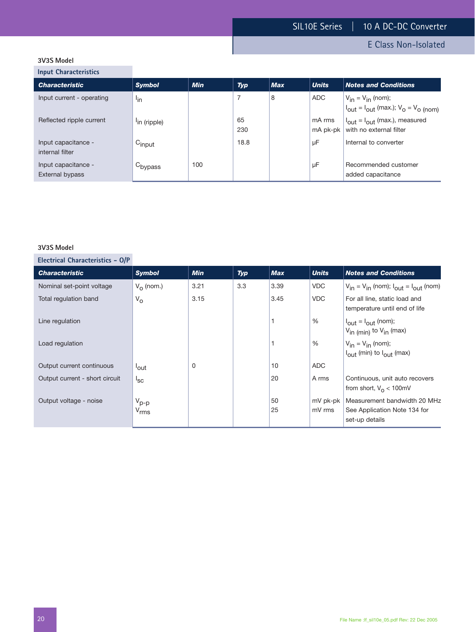E Class Non-Isolated

# **3V3S Model**

**Input Characteristics**

| <b>Characteristic</b>                  | <b>Symbol</b>            | <b>Min</b> | <b>Typ</b> | <b>Max</b> | <b>Units</b>       | <b>Notes and Conditions</b>                                                                                 |
|----------------------------------------|--------------------------|------------|------------|------------|--------------------|-------------------------------------------------------------------------------------------------------------|
| Input current - operating              | <sup>l</sup> in          |            | 7          | 8          | ADC.               | $V_{in} = V_{in}$ (nom);<br>$ I_{\text{out}}  = I_{\text{out}}$ (max.); $V_{\text{o}} = V_{\text{o}}$ (nom) |
| Reflected ripple current               | <sup>l</sup> in (ripple) |            | 65<br>230  |            | mA rms<br>mA pk-pk | $I_{\text{out}} = I_{\text{out}}$ (max.), measured<br>with no external filter                               |
| Input capacitance -<br>internal filter | $C_{input}$              |            | 18.8       |            | μF                 | Internal to converter                                                                                       |
| Input capacitance -<br>External bypass | $C_{\text{bypass}}$      | 100        |            |            | μF                 | Recommended customer<br>added capacitance                                                                   |

#### **3V3S Model**

| <b>Characteristic</b>          | <b>Symbol</b>          | <b>Min</b> | Typ | <b>Max</b> | <b>Units</b>       | <b>Notes and Conditions</b>                                                                |
|--------------------------------|------------------------|------------|-----|------------|--------------------|--------------------------------------------------------------------------------------------|
| Nominal set-point voltage      | $V_{\Omega}$ (nom.)    | 3.21       | 3.3 | 3.39       | <b>VDC</b>         | $V_{in} = V_{in}$ (nom); $I_{out} = I_{out}$ (nom)                                         |
| Total regulation band          | $V_{\rm O}$            | 3.15       |     | 3.45       | <b>VDC</b>         | For all line, static load and<br>temperature until end of life                             |
| Line regulation                |                        |            |     |            | $\frac{0}{0}$      | $I_{\text{out}} = I_{\text{out}}$ (nom);<br>V <sub>in (min)</sub> to V <sub>in</sub> (max) |
| Load regulation                |                        |            |     |            | $\frac{0}{0}$      | $V_{in} = V_{in}$ (nom);<br>$I_{\text{out}}$ (min) to $I_{\text{out}}$ (max)               |
| Output current continuous      | <sup>l</sup> out       | $\Omega$   |     | 10         | ADC                |                                                                                            |
| Output current - short circuit | $I_{SC}$               |            |     | 20         | A rms              | Continuous, unit auto recovers<br>from short, $V_{\Omega}$ < 100mV                         |
| Output voltage - noise         | $V_{p-p}$<br>$V_{rms}$ |            |     | 50<br>25   | mV pk-pk<br>mV rms | Measurement bandwidth 20 MHz<br>See Application Note 134 for<br>set-up details             |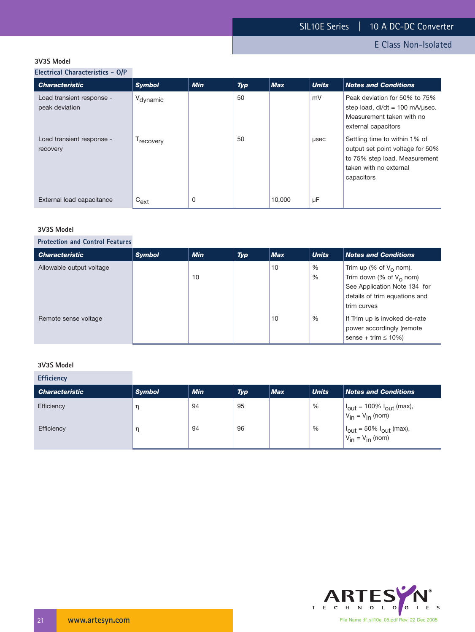E Class Non-Isolated

#### **3V3S Model**

**Electrical Characteristics - O/P**

| <b>Characteristic</b>                       | <b>Symbol</b>         | <b>Min</b> | <b>Typ</b> | <b>Max</b> | <b>Units</b> | <b>Notes and Conditions</b>                                                                                                                |
|---------------------------------------------|-----------------------|------------|------------|------------|--------------|--------------------------------------------------------------------------------------------------------------------------------------------|
| Load transient response -<br>peak deviation | V <sub>dynamic</sub>  |            | 50         |            | mV           | Peak deviation for 50% to 75%<br>step load, $di/dt = 100$ mA/ $\mu$ sec.<br>Measurement taken with no<br>external capacitors               |
| Load transient response -<br>recovery       | <sup>1</sup> recovery |            | 50         |            | usec         | Settling time to within 1% of<br>output set point voltage for 50%<br>to 75% step load. Measurement<br>taken with no external<br>capacitors |
| External load capacitance                   | $C_{ext}$             | 0          |            | 10,000     | μF           |                                                                                                                                            |

#### **3V3S Model**

# **Protection and Control Features**

| <b>Characteristic</b>    | <b>Symbol</b> | <b>Min</b> | Typ | <b>Max</b> | <b>Units</b> | <b>Notes and Conditions</b>                                                                                                                      |
|--------------------------|---------------|------------|-----|------------|--------------|--------------------------------------------------------------------------------------------------------------------------------------------------|
| Allowable output voltage |               | 10         |     | 10         | %<br>%       | Trim up (% of $V_0$ nom).<br>Trim down (% of V <sub>o</sub> nom)<br>See Application Note 134 for<br>details of trim equations and<br>trim curves |
| Remote sense voltage     |               |            |     | 10         | %            | If Trim up is invoked de-rate<br>power accordingly (remote<br>sense + trim $\leq 10\%$ )                                                         |

#### **3V3S Model**

**Efficiency**

| <b>Characteristic</b> | <b>Symbol</b> | <b>Min</b> | <b>Typ</b> | <b>Max</b> | <b>Units</b> | <b>Notes and Conditions</b>                                                        |
|-----------------------|---------------|------------|------------|------------|--------------|------------------------------------------------------------------------------------|
| Efficiency            |               | 94         | 95         |            | %            | $ I_{\text{out}}  = 100\% I_{\text{out}}$ (max),<br>$V_{in} = V_{in}$ (nom)        |
| Efficiency            |               | 94         | 96         |            | %            | $ I_{\text{out}} = 50\%  I_{\text{out}} \text{ (max)},$<br>$V_{in} = V_{in}$ (nom) |

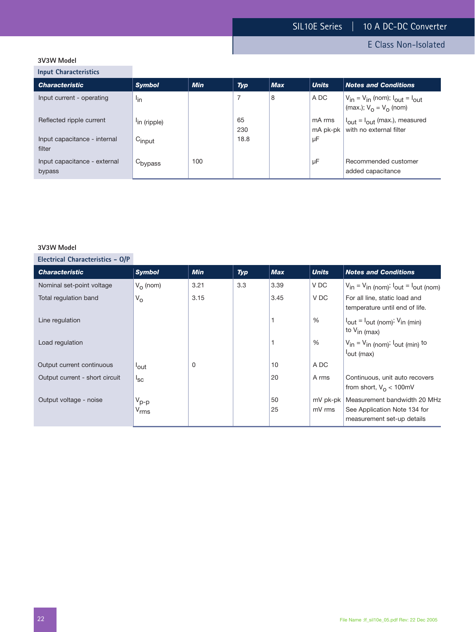E Class Non-Isolated

# **3V3W Model**

**Input Characteristics**

| <b>Characteristic</b>                  | <b>Symbol</b>            | <b>Min</b> | <b>Typ</b> | <b>Max</b> | <b>Units</b>       | <b>Notes and Conditions</b>                                                   |
|----------------------------------------|--------------------------|------------|------------|------------|--------------------|-------------------------------------------------------------------------------|
| Input current - operating              | <sup>l</sup> in          |            |            | 8          | A DC               | $V_{in} = V_{in}$ (nom); $I_{out} = I_{out}$<br>(max.); $V_0 = V_0$ (nom)     |
| Reflected ripple current               | <sup>l</sup> in (ripple) |            | 65<br>230  |            | mA rms<br>mA pk-pk | $I_{\text{out}} = I_{\text{out}}$ (max.), measured<br>with no external filter |
| Input capacitance - internal<br>filter | Cinput                   |            | 18.8       |            | μF                 |                                                                               |
| Input capacitance - external<br>bypass | C <sub>bypass</sub>      | 100        |            |            | μF                 | Recommended customer<br>added capacitance                                     |

#### **3V3W Model**

| <b>Characteristic</b>          | <b>Symbol</b>      | <b>Min</b> | Typ | <b>Max</b> | <b>Units</b>  | <b>Notes and Conditions</b>                                                                   |
|--------------------------------|--------------------|------------|-----|------------|---------------|-----------------------------------------------------------------------------------------------|
| Nominal set-point voltage      | $V_{\Omega}$ (nom) | 3.21       | 3.3 | 3.39       | V DC          | $V_{in} = V_{in}$ (nom); $I_{out} = I_{out}$ (nom)                                            |
| Total regulation band          | $V_{\rm O}$        | 3.15       |     | 3.45       | V DC          | For all line, static load and<br>temperature until end of life.                               |
| Line regulation                |                    |            |     |            | %             | $I_{\text{out}} = I_{\text{out (nom)}}$ ; $V_{\text{in (min)}}$<br>∣ <sup>to V</sup> in (max) |
| Load regulation                |                    |            |     |            | $\frac{0}{0}$ | $V_{in} = V_{in}$ (nom); $I_{out}$ (min) to<br>out (max)                                      |
| Output current continuous      | <sup>l</sup> out   | $\Omega$   |     | 10         | A DC          |                                                                                               |
| Output current - short circuit | $I_{SC}$           |            |     | 20         | A rms         | Continuous, unit auto recovers<br>from short, $V_{\Omega}$ < 100mV                            |
| Output voltage - noise         | $V_{p-p}$          |            |     | 50         | mV pk-pk      | Measurement bandwidth 20 MHz                                                                  |
|                                | $V_{rms}$          |            |     | 25         | mV rms        | See Application Note 134 for                                                                  |
|                                |                    |            |     |            |               | measurement set-up details                                                                    |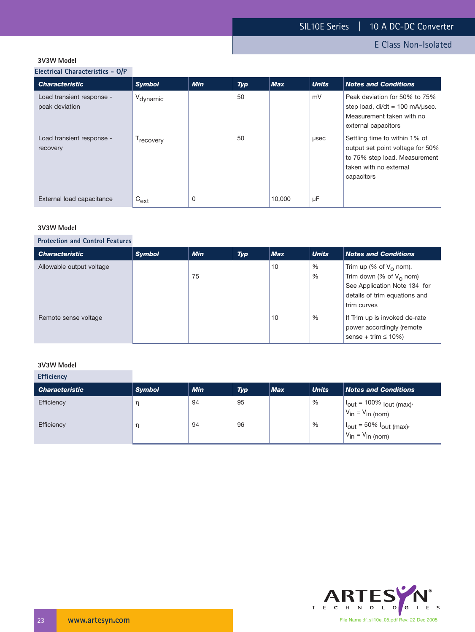E Class Non-Isolated

#### **3V3W Model**

**Electrical Characteristics - O/P**

| <b>Characteristic</b>                       | <b>Symbol</b>         | <b>Min</b> | <b>Typ</b> | <b>Max</b> | <b>Units</b> | <b>Notes and Conditions</b>                                                                                                                |
|---------------------------------------------|-----------------------|------------|------------|------------|--------------|--------------------------------------------------------------------------------------------------------------------------------------------|
| Load transient response -<br>peak deviation | V <sub>dynamic</sub>  |            | 50         |            | mV           | Peak deviation for 50% to 75%<br>step load, $di/dt = 100$ mA/usec.<br>Measurement taken with no<br>external capacitors                     |
| Load transient response -<br>recovery       | <sup>1</sup> recovery |            | 50         |            | usec         | Settling time to within 1% of<br>output set point voltage for 50%<br>to 75% step load. Measurement<br>taken with no external<br>capacitors |
| External load capacitance                   | $C_{ext}$             | 0          |            | 10,000     | μF           |                                                                                                                                            |

#### **3V3W Model**

#### **Protection and Control Features**

| <b>Characteristic</b>    | <b>Symbol</b> | <b>Min</b> | <b>Typ</b> | <b>Max</b> | <b>Units</b> | <b>Notes and Conditions</b>                                                                                                                               |
|--------------------------|---------------|------------|------------|------------|--------------|-----------------------------------------------------------------------------------------------------------------------------------------------------------|
| Allowable output voltage |               | 75         |            | 10         | %<br>%       | Trim up (% of V <sub>o</sub> nom).<br>Trim down (% of V <sub>o</sub> nom)<br>See Application Note 134 for<br>details of trim equations and<br>trim curves |
| Remote sense voltage     |               |            |            | 10         | %            | If Trim up is invoked de-rate<br>power accordingly (remote<br>sense + trim $\leq 10\%$ )                                                                  |

#### **3V3W Model**

| <b>Efficiency</b>     |               |            |            |            |              |                                                                                                                                   |
|-----------------------|---------------|------------|------------|------------|--------------|-----------------------------------------------------------------------------------------------------------------------------------|
| <b>Characteristic</b> | <b>Symbol</b> | <b>Min</b> | <b>Typ</b> | <b>Max</b> | <b>Units</b> | <b>Notes and Conditions</b>                                                                                                       |
| Efficiency            | η             | 94         | 95         |            | %            | $\begin{cases} I_{\text{out}} = 100\% \text{ lout (max)} \\ V_{\text{in}} = V_{\text{in (nom)}} \end{cases}$                      |
| Efficiency            | η             | 94         | 96         |            | %            | $\begin{vmatrix} I_{\text{out}} = 50\% & I_{\text{out}} (\text{max}) \\ V_{\text{in}} = V_{\text{in}} (\text{nom}) \end{vmatrix}$ |

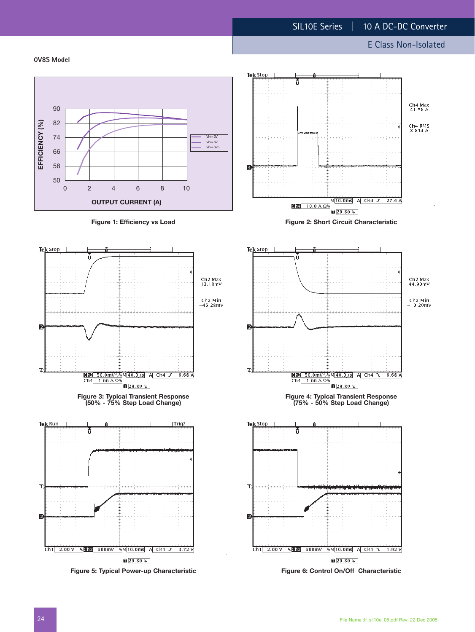Ch4 Max<br>41.58 A

Ch4 RMS<br>8.814 A

Ch2 Max<br>44.90mV

Ch<sub>2</sub> Min<br>-10.20mV

**0V8S Model**



**Figure 5: Typical Power-up Characteristic**

**Figure 6: Control On/Off Characteristic**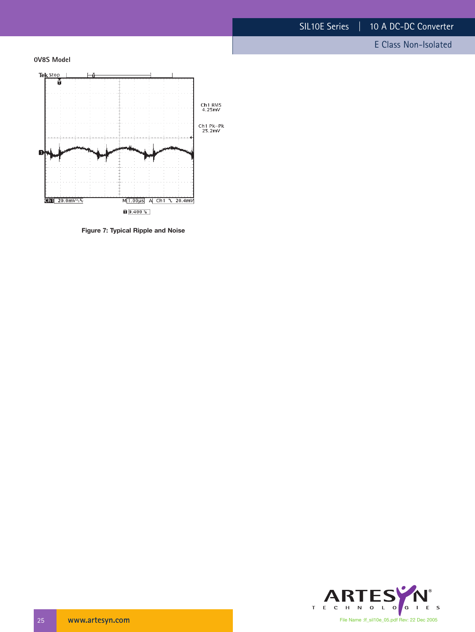E Class Non-Isolated





**Figure 7: Typical Ripple and Noise**

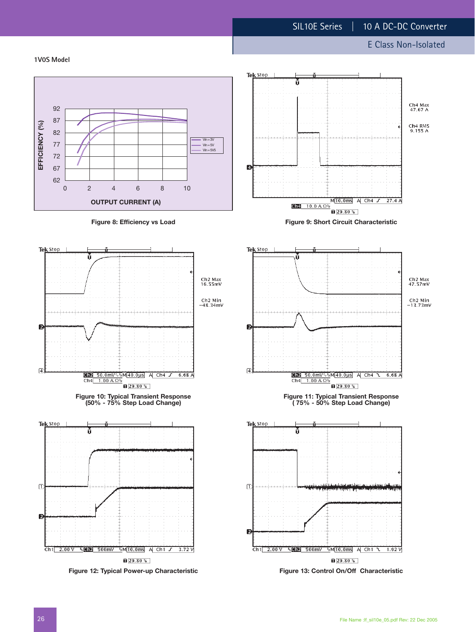#### **1V0S Model**



**Figure 12: Typical Power-up Characteristic**

 $129.80%$ 

Ch1 2.00 V & GT2 500mV & M10.0ms A Ch1  $J$  3.72 V



 $\sqrt{29.80\%}$ **Figure 13: Control On/Off Characteristic**

Ch1 2.00 V % 202 500 mV % M 10.0 ms A Ch1 1 1.92 V

Ø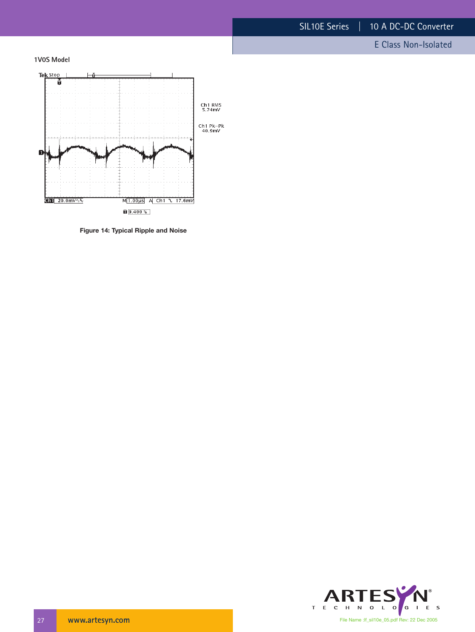E Class Non-Isolated





**Figure 14: Typical Ripple and Noise**

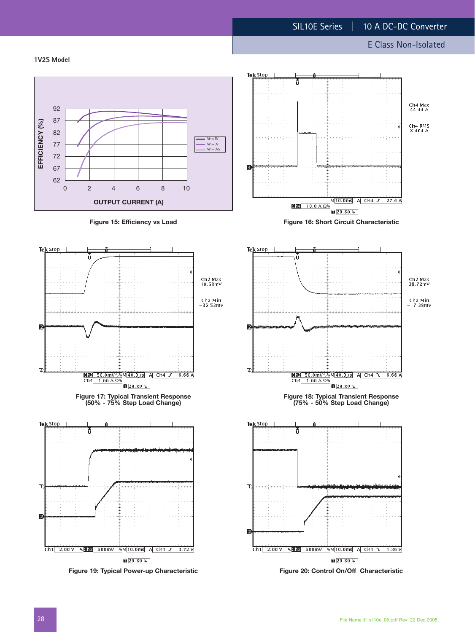Ch4 Max<br>44.44 A

Ch4 RMS<br>8.404 A

#### **1V2S Model**



 $\sqrt{29.80\%}$ **Figure 20: Control On/Off Characteristic**

# $M[10.0ms]$  A Ch4  $J$  27.4 A  $\sqrt{29.80\%}$



**Figure 19: Typical Power-up Characteristic**

 $129.80%$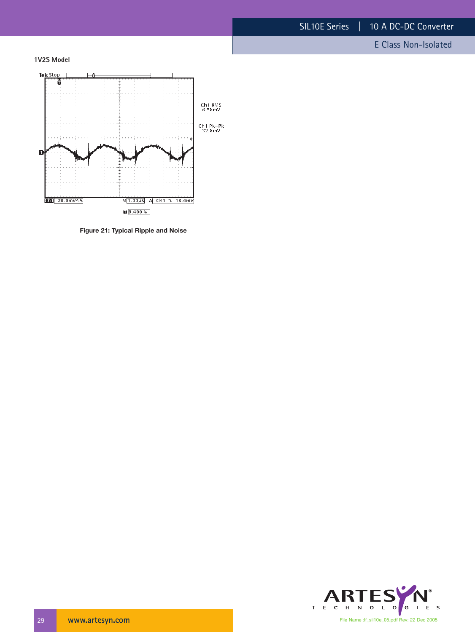E Class Non-Isolated





**Figure 21: Typical Ripple and Noise**

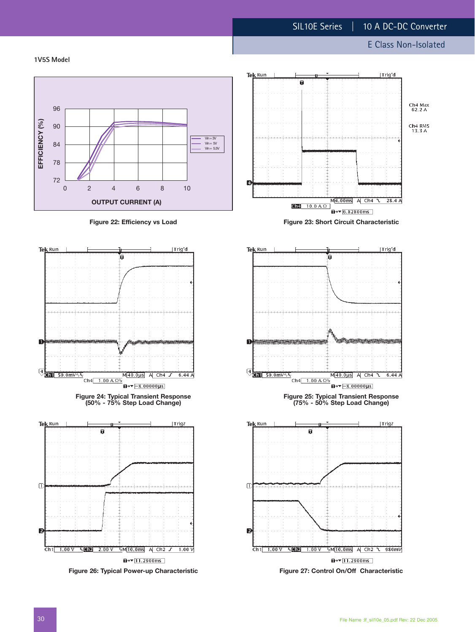**1V5S Model**









**Figure 26: Typical Power-up Characteristic**





 $\mathbf{z}$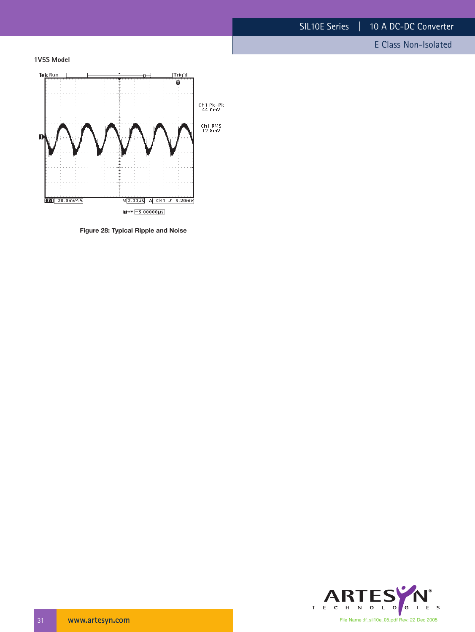E Class Non-Isolated

**1V5S Model**



**Figure 28: Typical Ripple and Noise**

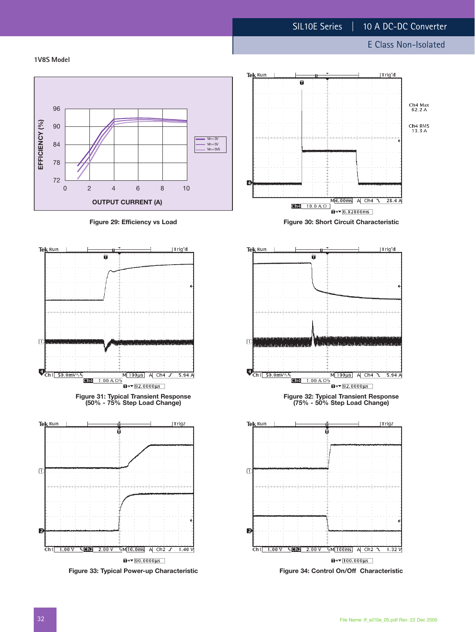#### **1V8S Model**









**Figure 33: Typical Power-up Characteristic**



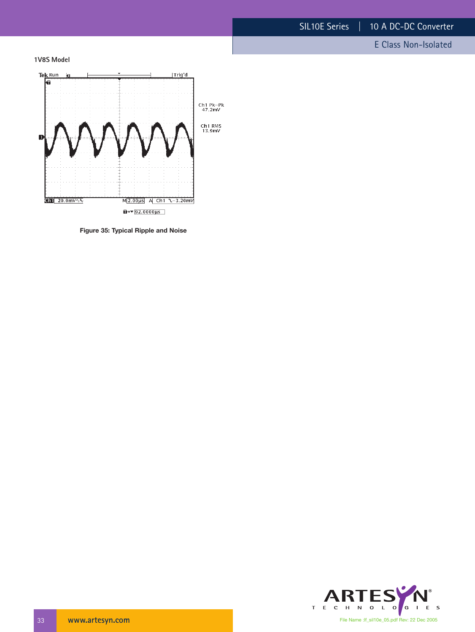E Class Non-Isolated

**1V8S Model**



**Figure 35: Typical Ripple and Noise**

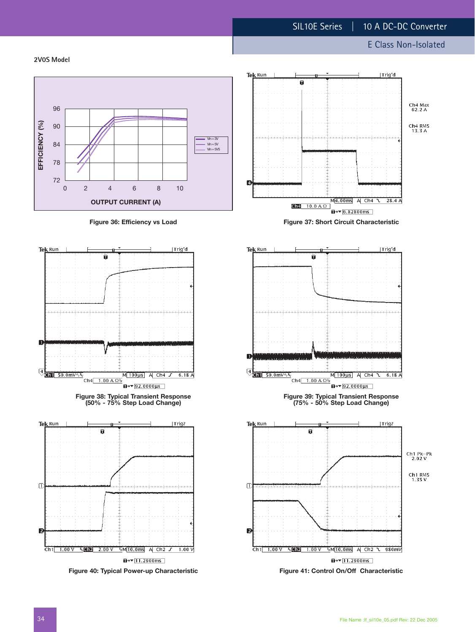ň

Trig'd

E Class Non-Isolated

**2V0S Model**



**Figure 40: Typical Power-up Characteristic**

 $\overline{u}$  +  $\sqrt{11.2900}$  ms

 $1.00V$ 

 $Ch1$  1.00 V % **CIP** 2.00 V % M 10.0ms A Ch2 J



 $\overline{a}$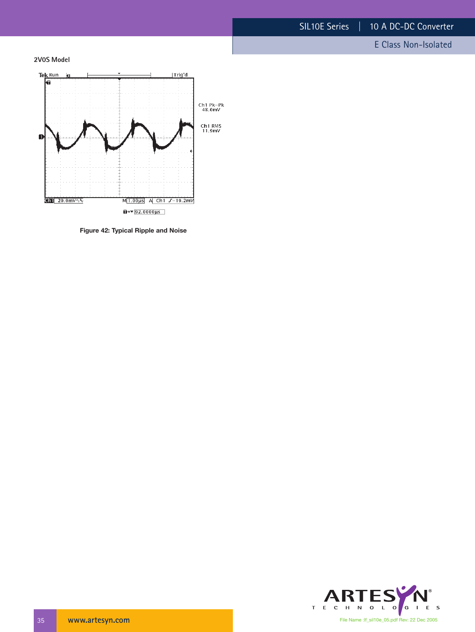E Class Non-Isolated

**2V0S Model**



**Figure 42: Typical Ripple and Noise**

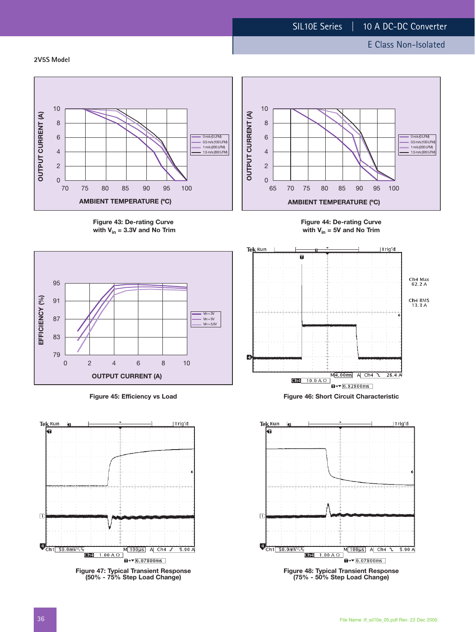**2V5S Model**



**Figure 43: De-rating Curve** with  $V_{in}$  = 3.3V and No Trim





**Figure 47: Typical Transient Response (50% - 75% Step Load Change)**



**Figure 44: De-rating Curve with Vin = 5V and No Trim**



**Figure 45: Efficiency vs Load Figure 46: Short Circuit Characteristic**



**Figure 48: Typical Transient Response (75% - 50% Step Load Change)**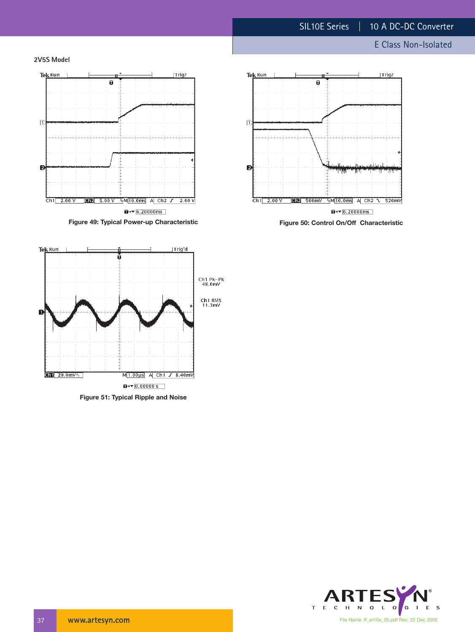**2V5S Model**





**Figure 51: Typical Ripple and Noise**

 $\overline{u}$  +  $\sqrt{0.000005}$ 

M<sub>1.00</sub>us A Ch1 / 8.40mV



**Figure 50: Control On/Off Characteristic**



 $\boxed{1}$  20.0mV $\sqrt{ }$ 

File Name :lf\_sil10e\_05.pdf Rev: 22 Dec 2005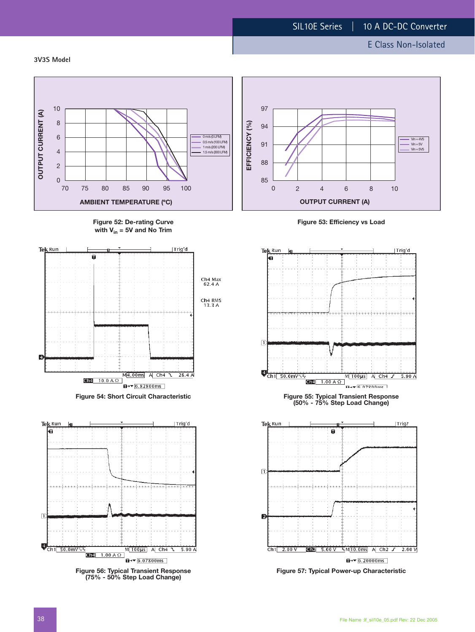**3V3S Model**

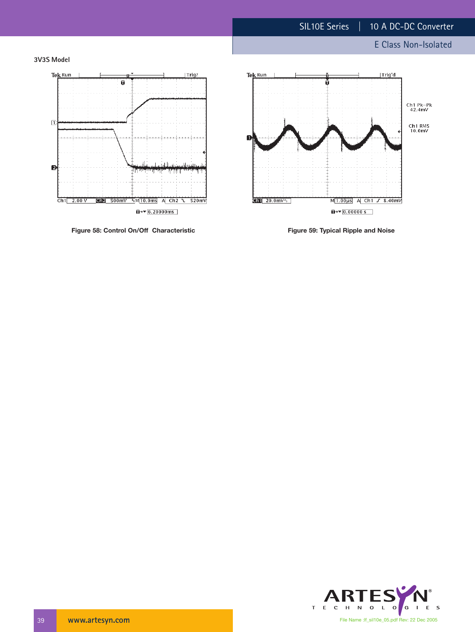





Figure 58: Control On/Off Characteristic **Figure 59: Typical Ripple and Noise** 



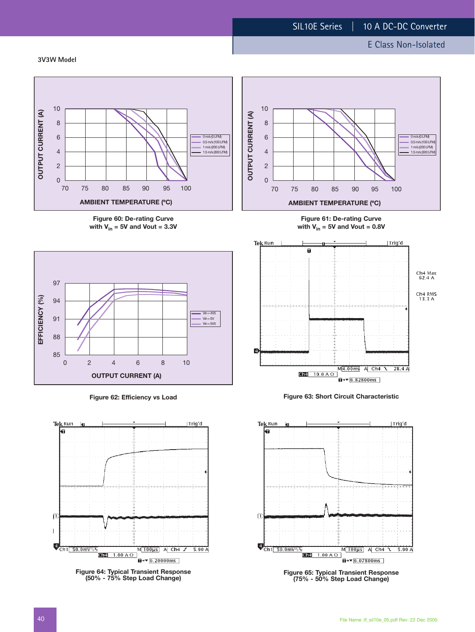**3V3W Model**



**Figure 60: De-rating Curve** with  $V_{in}$  = 5V and Vout = 3.3V



**Figure 62: Efficiency vs Load**



**Figure 64: Typical Transient Response (50% - 75% Step Load Change)**



**Figure 61: De-rating Curve** with  $V_{in}$  = 5V and Vout = 0.8V



**Figure 63: Short Circuit Characteristic**



**Figure 65: Typical Transient Response (75% - 50% Step Load Change)**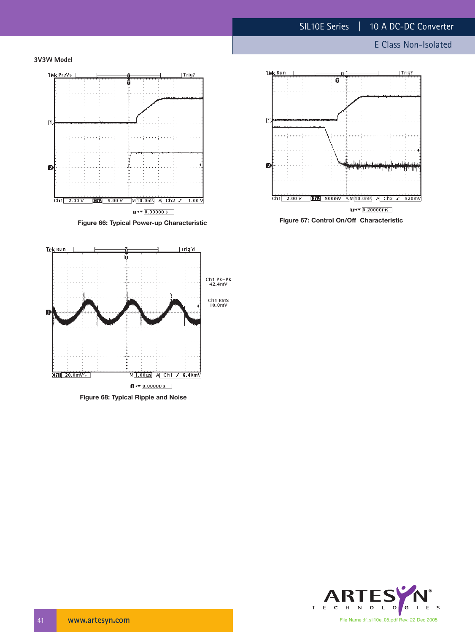E Class Non-Isolated







**Figure 68: Typical Ripple and Noise**



**Figure 66: Typical Power-up Characteristic Figure 67: Control On/Off Characteristic**

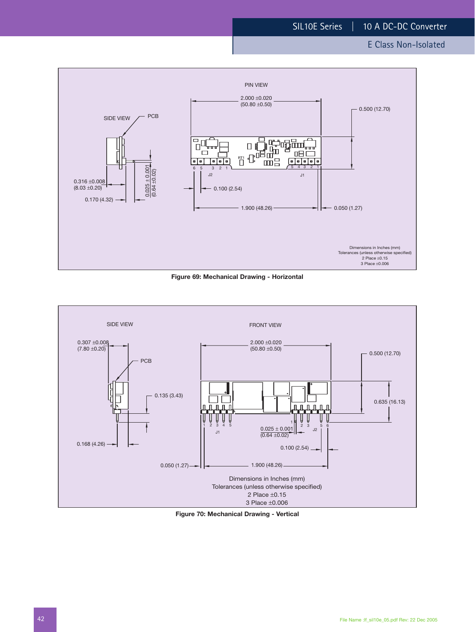





**Figure 70: Mechanical Drawing - Vertical**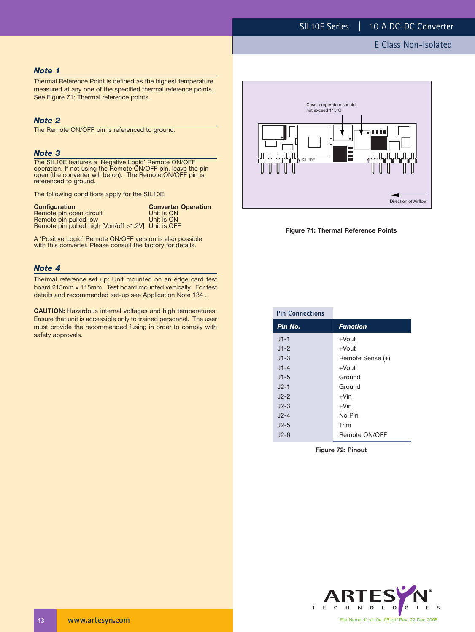#### *Note 1*

Thermal Reference Point is defined as the highest temperature measured at any one of the specified thermal reference points. See Figure 71: Thermal reference points.

#### *Note 2*

The Remote ON/OFF pin is referenced to ground.

#### *Note 3*

The SIL10E features a 'Negative Logic' Remote ON/OFF operation. If not using the Remote ON/OFF pin, leave the pin open (the converter will be on). The Remote ON/OFF pin is referenced to ground.

The following conditions apply for the SIL10E:

| <b>Configuration</b>                               | <b>Converter Operation</b> |
|----------------------------------------------------|----------------------------|
| Remote pin open circuit                            | Unit is ON                 |
| Remote pin pulled low                              | Unit is ON                 |
| Remote pin pulled high [Von/off >1.2V] Unit is OFF |                            |

A 'Positive Logic' Remote ON/OFF version is also possible with this converter. Please consult the factory for details.

#### *Note 4*

Thermal reference set up: Unit mounted on an edge card test board 215mm x 115mm. Test board mounted vertically. For test details and recommended set-up see Application Note 134 .

**CAUTION:** Hazardous internal voltages and high temperatures. Ensure that unit is accessible only to trained personnel. The user must provide the recommended fusing in order to comply with safety approvals.





| <b>Pin Connections</b> |                  |
|------------------------|------------------|
| Pin No.                | <b>Function</b>  |
| $J1-1$                 | $+$ Vout         |
| $J1-2$                 | $+$ Vout         |
| $J1-3$                 | Remote Sense (+) |
| $J1 - 4$               | $+$ Vout         |
| $J1-5$                 | Ground           |
| $J2-1$                 | Ground           |
| $J2-2$                 | $+V$ in          |
| $J2-3$                 | $+V$ in          |
| $J2-4$                 | No Pin           |
| $J2-5$                 | Trim             |
| $J2-6$                 | Remote ON/OFF    |

**Figure 72: Pinout**